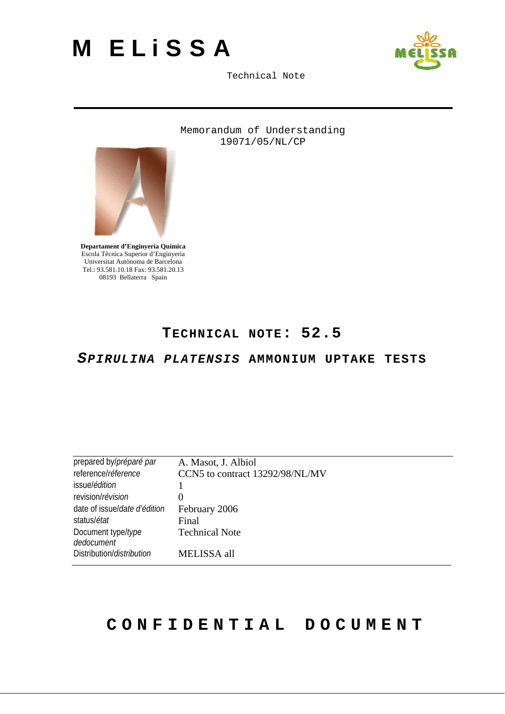



Memorandum of Understanding 19071/05/NL/CP



**Departament d'Enginyeria Química**  Escola Tècnica Superior d'Enginyeria Universitat Autònoma de Barcelona Tel.: 93.581.10.18 Fax: 93.581.20.13 08193 Bellaterra Spain

### **TECHNICAL NOTE: 52.5**

*SPIRULINA PLATENSIS* **AMMONIUM UPTAKE TESTS**

| prepared by/préparé par          | A. Masot, J. Albiol             |
|----------------------------------|---------------------------------|
| referencel réference             | CCN5 to contract 13292/98/NL/MV |
| issue/édition                    |                                 |
| revision/révision                | 0                               |
| date of issue/date d'édition     | February 2006                   |
| status/ <i>état</i>              | Final                           |
| Document type/type<br>dedocument | <b>Technical Note</b>           |
| Distribution/distribution        | MELISSA all                     |

# **CONFIDENTIAL DOCUMENT**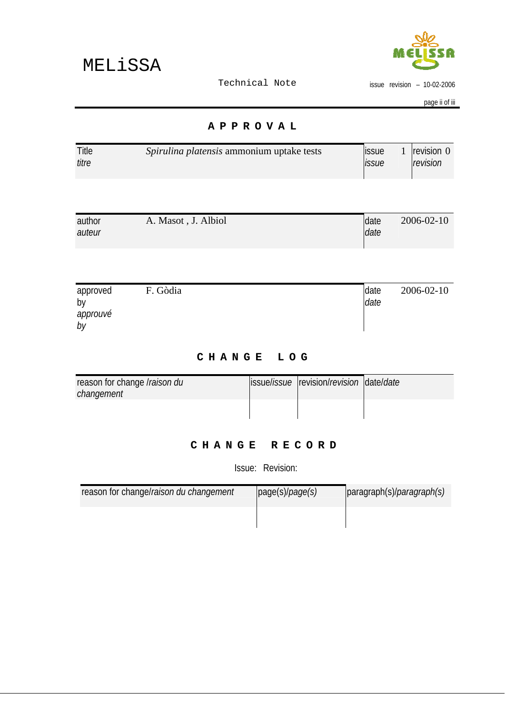

issue revision – 10-02-2006

page ii of iii

#### **APPROVAL**

| Title | Spirulina platensis ammonium uptake tests | <b>issue</b> | 1 $revision 0$ |
|-------|-------------------------------------------|--------------|----------------|
| titre |                                           | <b>ISSUe</b> | revision       |

| author | A. Masot, J. Albiol | <b>Idate</b> | 2006-02-10 |
|--------|---------------------|--------------|------------|
| auteur |                     | date         |            |
|        |                     |              |            |

| approved       | F. Gòdia | date | 2006-02-10 |
|----------------|----------|------|------------|
| by<br>approuvé |          | date |            |
| by             |          |      |            |

### **CHANGE LOG**

| reason for change <i>Iraison du</i> | issue/ <i>issue</i>  revision/ <i>revision</i>   date/ <i>date</i> |  |
|-------------------------------------|--------------------------------------------------------------------|--|
| changement                          |                                                                    |  |

### **CHANGE RECORD**

Issue: Revision:

| reason for change/raison du changement | page(s)/page(s) | $ $ paragraph(s)/ <i>paragraph(s)</i> |
|----------------------------------------|-----------------|---------------------------------------|
|                                        |                 |                                       |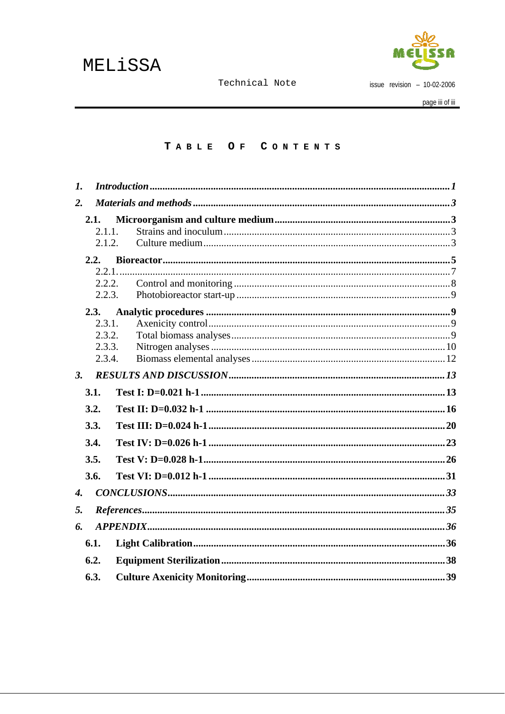

issue revision  $-10-02-2006$ 

#### TABLE OF CONTENTS

| $\mathbf{I}$ .     |                  |               |  |
|--------------------|------------------|---------------|--|
| 2.                 |                  |               |  |
|                    | 2.1.             |               |  |
|                    | 2.1.1.           |               |  |
|                    | 2.1.2.           |               |  |
|                    | 2.2.             |               |  |
|                    |                  |               |  |
|                    |                  | 2.2.2.        |  |
|                    | 2.2.3.           |               |  |
|                    | 2.3.             |               |  |
|                    | 2.3.1.           |               |  |
|                    | 2.3.2.<br>2.3.3. |               |  |
|                    | 2.3.4.           |               |  |
| 3.                 |                  |               |  |
|                    | 3.1.             |               |  |
|                    | 3.2.             |               |  |
|                    | 3.3.             |               |  |
|                    | 3.4.             |               |  |
|                    | 3.5.             |               |  |
|                    | 3.6.             |               |  |
| $\boldsymbol{4}$ . |                  |               |  |
| 5.                 |                  | References 35 |  |
| 6.                 |                  |               |  |
|                    | 6.1.             |               |  |
|                    | 6.2.             |               |  |
|                    | 6.3.             |               |  |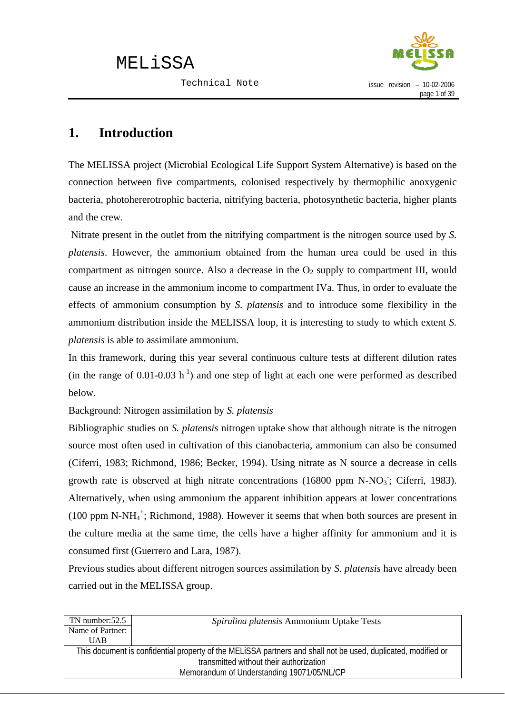

### <span id="page-3-0"></span>**1. Introduction**

The MELISSA project (Microbial Ecological Life Support System Alternative) is based on the connection between five compartments, colonised respectively by thermophilic anoxygenic bacteria, photohererotrophic bacteria, nitrifying bacteria, photosynthetic bacteria, higher plants and the crew.

 Nitrate present in the outlet from the nitrifying compartment is the nitrogen source used by *S. platensis*. However, the ammonium obtained from the human urea could be used in this compartment as nitrogen source. Also a decrease in the  $O<sub>2</sub>$  supply to compartment III, would cause an increase in the ammonium income to compartment IVa. Thus, in order to evaluate the effects of ammonium consumption by *S. platensis* and to introduce some flexibility in the ammonium distribution inside the MELISSA loop, it is interesting to study to which extent *S. platensis* is able to assimilate ammonium.

In this framework, during this year several continuous culture tests at different dilution rates (in the range of 0.01-0.03  $h^{-1}$ ) and one step of light at each one were performed as described below.

Background: Nitrogen assimilation by *S. platensis*

Bibliographic studies on *S. platensis* nitrogen uptake show that although nitrate is the nitrogen source most often used in cultivation of this cianobacteria, ammonium can also be consumed (Ciferri, 1983; Richmond, 1986; Becker, 1994). Using nitrate as N source a decrease in cells growth rate is observed at high nitrate concentrations  $(16800 \text{ ppm} \text{ N-NO}_3)$ ; Ciferri, 1983). Alternatively, when using ammonium the apparent inhibition appears at lower concentrations (100 ppm N-NH $_4^+$ ; Richmond, 1988). However it seems that when both sources are present in the culture media at the same time, the cells have a higher affinity for ammonium and it is consumed first (Guerrero and Lara, 1987).

Previous studies about different nitrogen sources assimilation by *S. platensis* have already been carried out in the MELISSA group.

| Spirulina platensis Ammonium Uptake Tests                                                                     |  |  |
|---------------------------------------------------------------------------------------------------------------|--|--|
|                                                                                                               |  |  |
|                                                                                                               |  |  |
| This document is confidential property of the MELiSSA partners and shall not be used, duplicated, modified or |  |  |
| transmitted without their authorization                                                                       |  |  |
| Memorandum of Understanding 19071/05/NL/CP                                                                    |  |  |
|                                                                                                               |  |  |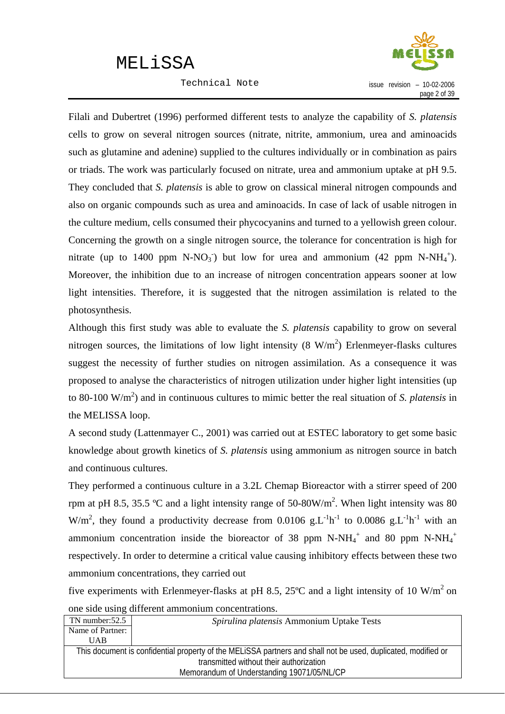Technical Note



Filali and Dubertret (1996) performed different tests to analyze the capability of *S. platensis* cells to grow on several nitrogen sources (nitrate, nitrite, ammonium, urea and aminoacids such as glutamine and adenine) supplied to the cultures individually or in combination as pairs or triads. The work was particularly focused on nitrate, urea and ammonium uptake at pH 9.5. They concluded that *S. platensis* is able to grow on classical mineral nitrogen compounds and also on organic compounds such as urea and aminoacids. In case of lack of usable nitrogen in the culture medium, cells consumed their phycocyanins and turned to a yellowish green colour. Concerning the growth on a single nitrogen source, the tolerance for concentration is high for nitrate (up to 1400 ppm N-NO<sub>3</sub>) but low for urea and ammonium (42 ppm N-NH<sub>4</sub><sup>+</sup>). Moreover, the inhibition due to an increase of nitrogen concentration appears sooner at low light intensities. Therefore, it is suggested that the nitrogen assimilation is related to the photosynthesis.

Although this first study was able to evaluate the *S. platensis* capability to grow on several nitrogen sources, the limitations of low light intensity  $(8 \text{ W/m}^2)$  Erlenmeyer-flasks cultures suggest the necessity of further studies on nitrogen assimilation. As a consequence it was proposed to analyse the characteristics of nitrogen utilization under higher light intensities (up to 80-100 W/m<sup>2</sup>) and in continuous cultures to mimic better the real situation of *S. platensis* in the MELISSA loop.

A second study (Lattenmayer C., 2001) was carried out at ESTEC laboratory to get some basic knowledge about growth kinetics of *S. platensis* using ammonium as nitrogen source in batch and continuous cultures.

They performed a continuous culture in a 3.2L Chemap Bioreactor with a stirrer speed of 200 rpm at pH 8.5, 35.5 °C and a light intensity range of 50-80W/m<sup>2</sup>. When light intensity was 80 W/m<sup>2</sup>, they found a productivity decrease from 0.0106 g.L<sup>-1</sup>h<sup>-1</sup> to 0.0086 g.L<sup>-1</sup>h<sup>-1</sup> with an ammonium concentration inside the bioreactor of 38 ppm N-NH $_4^+$  and 80 ppm N-NH $_4^+$ respectively. In order to determine a critical value causing inhibitory effects between these two ammonium concentrations, they carried out

five experiments with Erlenmeyer-flasks at pH 8.5, 25 $^{\circ}$ C and a light intensity of 10 W/m<sup>2</sup> on one side using different ammonium concentrations.

| Spirulina platensis Ammonium Uptake Tests                                                                     |  |  |
|---------------------------------------------------------------------------------------------------------------|--|--|
|                                                                                                               |  |  |
|                                                                                                               |  |  |
| This document is confidential property of the MELiSSA partners and shall not be used, duplicated, modified or |  |  |
| transmitted without their authorization                                                                       |  |  |
| Memorandum of Understanding 19071/05/NL/CP                                                                    |  |  |
|                                                                                                               |  |  |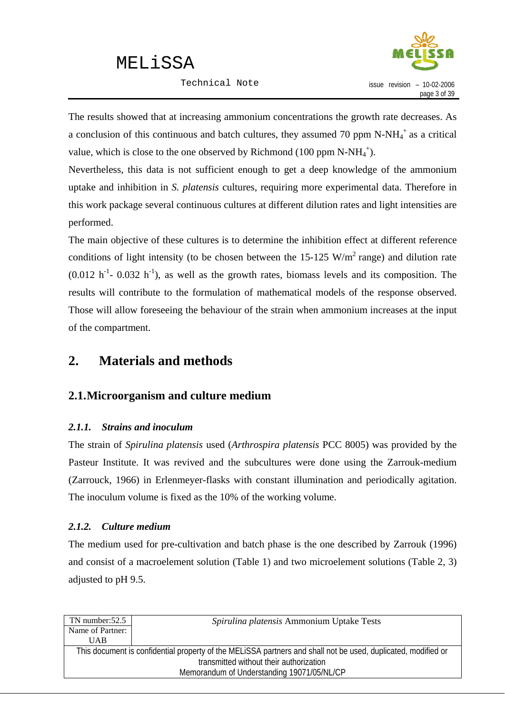Technical Note



<span id="page-5-0"></span>The results showed that at increasing ammonium concentrations the growth rate decreases. As a conclusion of this continuous and batch cultures, they assumed 70 ppm N-NH $_4^+$  as a critical value, which is close to the one observed by Richmond (100 ppm  $N-NH_4^+$ ).

Nevertheless, this data is not sufficient enough to get a deep knowledge of the ammonium uptake and inhibition in *S. platensis* cultures, requiring more experimental data. Therefore in this work package several continuous cultures at different dilution rates and light intensities are performed.

The main objective of these cultures is to determine the inhibition effect at different reference conditions of light intensity (to be chosen between the  $15{\text -}125 \text{ W/m}^2$  range) and dilution rate  $(0.012 h<sup>-1</sup> - 0.032 h<sup>-1</sup>)$ , as well as the growth rates, biomass levels and its composition. The results will contribute to the formulation of mathematical models of the response observed. Those will allow foreseeing the behaviour of the strain when ammonium increases at the input of the compartment.

### **2. Materials and methods**

### **2.1.Microorganism and culture medium**

### *2.1.1. Strains and inoculum*

The strain of *Spirulina platensis* used (*Arthrospira platensis* PCC 8005) was provided by the Pasteur Institute. It was revived and the subcultures were done using the Zarrouk-medium (Zarrouck, 1966) in Erlenmeyer-flasks with constant illumination and periodically agitation. The inoculum volume is fixed as the 10% of the working volume.

#### *2.1.2. Culture medium*

The medium used for pre-cultivation and batch phase is the one described by Zarrouk (1996) and consist of a macroelement solution (Table 1) and two microelement solutions (Table 2, 3) adjusted to pH 9.5.

| This document is confidential property of the MELISSA partners and shall not be used, duplicated, modified or |
|---------------------------------------------------------------------------------------------------------------|
|                                                                                                               |
|                                                                                                               |
|                                                                                                               |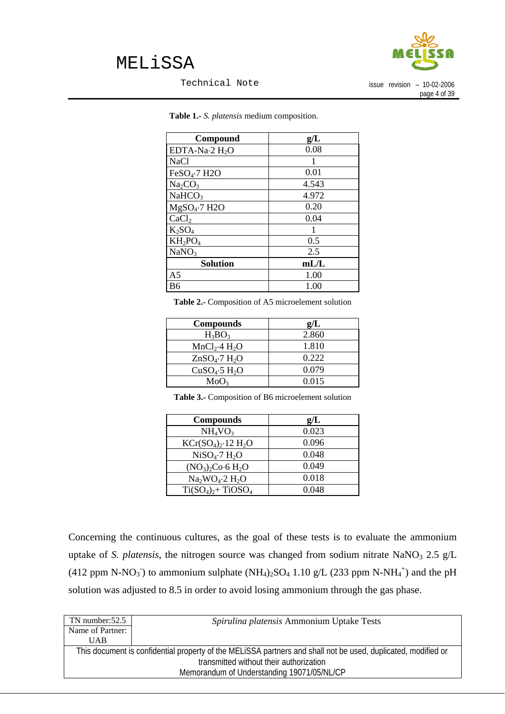

Technical Note

issue revision – 10-02-2006 page 4 of 39

| Compound                           | g/L   |
|------------------------------------|-------|
| EDTA-Na $\cdot$ 2 H <sub>2</sub> O | 0.08  |
| <b>NaCl</b>                        |       |
| $FeSO4·7$ H2O                      | 0.01  |
| Na <sub>2</sub> CO <sub>3</sub>    | 4.543 |
| NaHCO <sub>3</sub>                 | 4.972 |
| $MgSO4·7$ H2O                      | 0.20  |
| CaCl <sub>2</sub>                  | 0.04  |
| $K_2SO_4$                          |       |
| $KH_2PO_4$                         | 0.5   |
| NaNO <sub>3</sub>                  | 2.5   |
| <b>Solution</b>                    | mL/L  |
| A <sub>5</sub>                     | 1.00  |
| B6                                 | 1.00  |

**Table 1.-** *S. platensis* medium composition.

**Table 2.-** Composition of A5 microelement solution

| <b>Compounds</b>                      | g/L   |
|---------------------------------------|-------|
| $H_3BO_3$                             | 2.860 |
| MnCl <sub>2</sub> ·4 H <sub>2</sub> O | 1.810 |
| $ZnSO_4$ -7 $H_2O$                    | 0.222 |
| CuSO <sub>4</sub> ·5 H <sub>2</sub> O | 0.079 |
| MoO <sub>3</sub>                      | 0.015 |

**Table 3.-** Composition of B6 microelement solution

| <b>Compounds</b>                      | g/L   |
|---------------------------------------|-------|
| NH <sub>4</sub> VO <sub>3</sub>       | 0.023 |
| $KCr(SO4)2·12 H2O$                    | 0.096 |
| NiSO <sub>4</sub> ·7 H <sub>2</sub> O | 0.048 |
| $(NO_3)_2Co·6H_2O$                    | 0.049 |
| $Na2WO4·2 H2O$                        | 0.018 |
| $Ti(SO4)2+TiOSO4$                     | 0.048 |

Concerning the continuous cultures, as the goal of these tests is to evaluate the ammonium uptake of *S. platensis*, the nitrogen source was changed from sodium nitrate NaNO<sub>3</sub> 2.5 g/L (412 ppm N-NO<sub>3</sub><sup>-</sup>) to ammonium sulphate (NH<sub>4</sub>)<sub>2</sub>SO<sub>4</sub> 1.10 g/L (233 ppm N-NH<sub>4</sub><sup>+</sup>) and the pH solution was adjusted to 8.5 in order to avoid losing ammonium through the gas phase.

| Spirulina platensis Ammonium Uptake Tests                                                                     |  |  |
|---------------------------------------------------------------------------------------------------------------|--|--|
|                                                                                                               |  |  |
|                                                                                                               |  |  |
| This document is confidential property of the MELISSA partners and shall not be used, duplicated, modified or |  |  |
| transmitted without their authorization                                                                       |  |  |
| Memorandum of Understanding 19071/05/NL/CP                                                                    |  |  |
|                                                                                                               |  |  |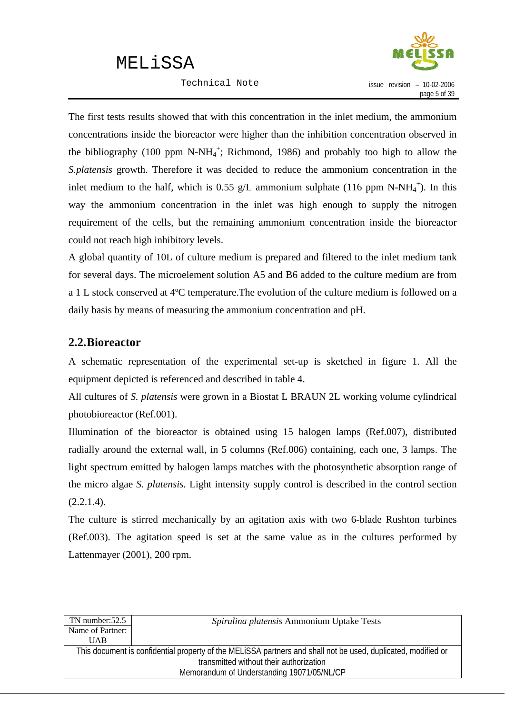Technical Note



<span id="page-7-0"></span>The first tests results showed that with this concentration in the inlet medium, the ammonium concentrations inside the bioreactor were higher than the inhibition concentration observed in the bibliography (100 ppm N-N $H_4^+$ ; Richmond, 1986) and probably too high to allow the *S.platensis* growth. Therefore it was decided to reduce the ammonium concentration in the inlet medium to the half, which is 0.55 g/L ammonium sulphate (116 ppm N-NH<sub>4</sub><sup>+</sup>). In this way the ammonium concentration in the inlet was high enough to supply the nitrogen requirement of the cells, but the remaining ammonium concentration inside the bioreactor could not reach high inhibitory levels.

A global quantity of 10L of culture medium is prepared and filtered to the inlet medium tank for several days. The microelement solution A5 and B6 added to the culture medium are from a 1 L stock conserved at 4ºC temperature.The evolution of the culture medium is followed on a daily basis by means of measuring the ammonium concentration and pH.

### **2.2.Bioreactor**

A schematic representation of the experimental set-up is sketched in figure 1. All the equipment depicted is referenced and described in table 4.

All cultures of *S. platensis* were grown in a Biostat L BRAUN 2L working volume cylindrical photobioreactor (Ref.001).

Illumination of the bioreactor is obtained using 15 halogen lamps (Ref.007), distributed radially around the external wall, in 5 columns (Ref.006) containing, each one, 3 lamps. The light spectrum emitted by halogen lamps matches with the photosynthetic absorption range of the micro algae *S. platensis.* Light intensity supply control is described in the control section  $(2.2.1.4).$ 

The culture is stirred mechanically by an agitation axis with two 6-blade Rushton turbines (Ref.003). The agitation speed is set at the same value as in the cultures performed by Lattenmayer (2001), 200 rpm.

| TN number:52.5                             | Spirulina platensis Ammonium Uptake Tests                                                                     |  |
|--------------------------------------------|---------------------------------------------------------------------------------------------------------------|--|
| Name of Partner:                           |                                                                                                               |  |
| <b>UAB</b>                                 |                                                                                                               |  |
|                                            | This document is confidential property of the MELiSSA partners and shall not be used, duplicated, modified or |  |
| transmitted without their authorization    |                                                                                                               |  |
| Memorandum of Understanding 19071/05/NL/CP |                                                                                                               |  |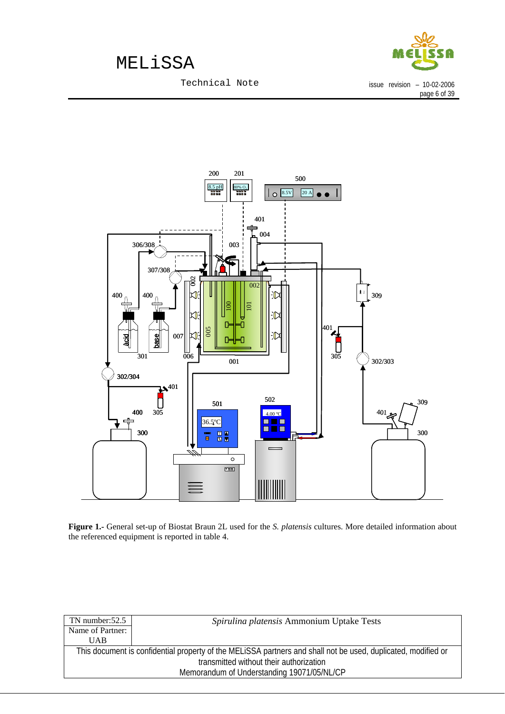

page 6 of 39

issue revision – 10-02-2006

Technical Note



**Figure 1.-** General set-up of Biostat Braun 2L used for the *S. platensis* cultures. More detailed information about the referenced equipment is reported in table 4.

| TN number: $52.5$                          | Spirulina platensis Ammonium Uptake Tests                                                                     |  |
|--------------------------------------------|---------------------------------------------------------------------------------------------------------------|--|
| Name of Partner:                           |                                                                                                               |  |
| UAB                                        |                                                                                                               |  |
|                                            | This document is confidential property of the MELiSSA partners and shall not be used, duplicated, modified or |  |
| transmitted without their authorization    |                                                                                                               |  |
| Memorandum of Understanding 19071/05/NL/CP |                                                                                                               |  |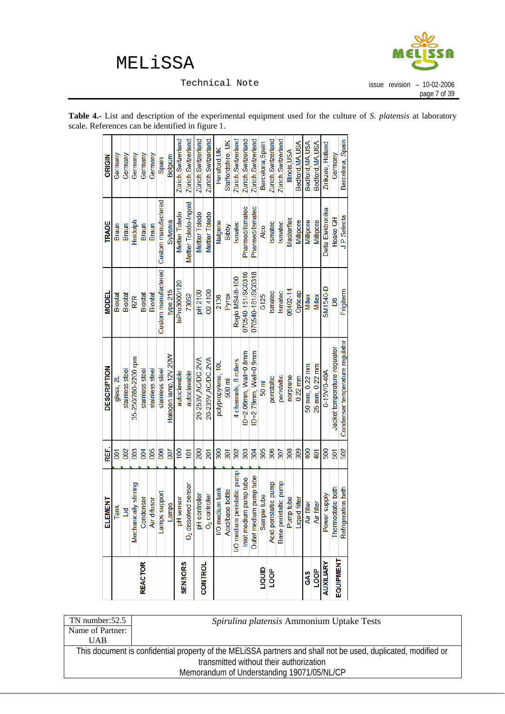

Technical Note

<span id="page-9-0"></span>

| <b>Table 4.-</b> List and description of the experimental equipment used for the culture of S. <i>platensis</i> at laboratory |  |  |  |  |
|-------------------------------------------------------------------------------------------------------------------------------|--|--|--|--|
| scale. References can be identified in figure 1.                                                                              |  |  |  |  |

|                  | ELEMENT                         | REF.             | <b>DESCRIPTION</b>              | MODEL               | <b>TRADE</b>          | ORIGIN              |
|------------------|---------------------------------|------------------|---------------------------------|---------------------|-----------------------|---------------------|
|                  | Tank                            | 5d               | glass, 2L                       | Biostat             | Braun                 | Germany             |
|                  | Ľď                              | 002              | stainless steel                 | <b>Biostat</b>      | Braun                 | Germany             |
|                  | Mechanically stirring           | 003              | 35-250/280-2200 rpm             | RZR                 | Heidolph              | Germany             |
| <b>REACTOR</b>   | Condenser                       | $\overline{6}$   | stainless steel                 | Biostat             | Braun                 | Germany             |
|                  | Air difusor                     | 800              | stainless steel                 | Biostat             | Braun                 | Germany             |
|                  | Lamps support                   | 800              | stainless steel                 | Custom manufactered | Custom manufactered   | Spain               |
|                  | Lamps                           | 007              | Halogen lamp, 12V, 20W          | type 215            | Sylvania              | Belgium             |
|                  | pH sensor                       | $\overline{00}$  | autoclavable                    | InPro3000/120       | Mettler Toledo        | Zürich, Switzerland |
| <b>SENSORS</b>   | O <sub>2</sub> dissolved sensor | $\overline{101}$ | autoclavable                    | 73052               | Mettler Toledo-Ingold | Zürich, Switzerland |
|                  | pH controller                   | 200              | 20-253V, AC/DC, 2VA             | pH 2100             | Mettler<br>Toledo     | Zürich, Switzerland |
| <b>CONTROL</b>   | $O2$ controller                 | 201              | 20-235V, AC/DC, 2VA             | 024100              | Mettler<br>Toledo     | Zürich, Switzerland |
|                  | I/O medium tank                 | 300              | polypropylene, 10L              | 2136                | Nalgene               | Hereford, UK        |
|                  | Acid/base bottle                | $\overline{301}$ | 500 ml                          | Pyrex               | Bibby                 | Staffordshire, UK   |
|                  | I/O medium peristaltic pump     | 302              | 4 channels, 8 rollers           | Regio MS4/8-100     | Ismatec               | Zürich, Switzerland |
|                  | Inlet medium pump tube          | 303              | ID=2.06mm, Wall=0.8mm           | 070540-151/SC0316   | Pharmed/Ismatec       | Zürich, Switzerland |
|                  | Outlet medium pump tube         | 304              | ID=2.79mm, Wall=0.9mm           | 070540-181/SC0318   | Pharmed/Ismatec       | Zürich, Switzerland |
| ambri            | Sample tube                     | 305              | $50 \text{ m}$                  | G125                | <b>Alco</b>           | Barcelona, Spain    |
| <b>LOOP</b>      | Acid peristaltic pump           | 306              | peristaltic                     | Ismatec             | Ismatec               | Zürich, Switzerland |
|                  | Base peristattic pump           | 307              | peristaltic                     | Ismatec             | Ismatec               | Zürich, Switzerland |
|                  | Pump tube                       | 308              | norprene                        | 06402-14            | Masterflex            | Illinois.USA        |
|                  | Liquid filter                   | 309              | $0.22$ mm                       | Opticap             | Millipore             | Bedford, MA, USA    |
| GAS              | Air filter                      | $rac{400}{1}$    | 50 mm, 0.22 mm                  | Millex              | Millipore             | Bedford, MA, USA    |
| <b>BOOT</b>      | Air filter                      | 401              | 25 mm. 0.22 mm                  | Millex              | <b>Millipore</b>      | Bedford, MA, USA    |
| AUXILIARY        | Power supply                    | 500              | 0-15V/0-40A                     | SM1540-D            | Delta Elektronika     | Zirikzee, Holland   |
| <b>EQUIPMENT</b> | Thermostatic bath               | 501              | Jacket temperature regulator    | Bg                  | Haake GH              | Germany             |
|                  | Refrigeration bath              | 502              | Condenser temperature regulator | Frigiterm           | J.P Selecta           | Barcelona, Spain    |

| TN number: $52.5$                          | Spirulina platensis Ammonium Uptake Tests                                                                     |
|--------------------------------------------|---------------------------------------------------------------------------------------------------------------|
| Name of Partner:                           |                                                                                                               |
| UAB                                        |                                                                                                               |
|                                            | This document is confidential property of the MELISSA partners and shall not be used, duplicated, modified or |
|                                            | transmitted without their authorization                                                                       |
| Memorandum of Understanding 19071/05/NL/CP |                                                                                                               |
|                                            |                                                                                                               |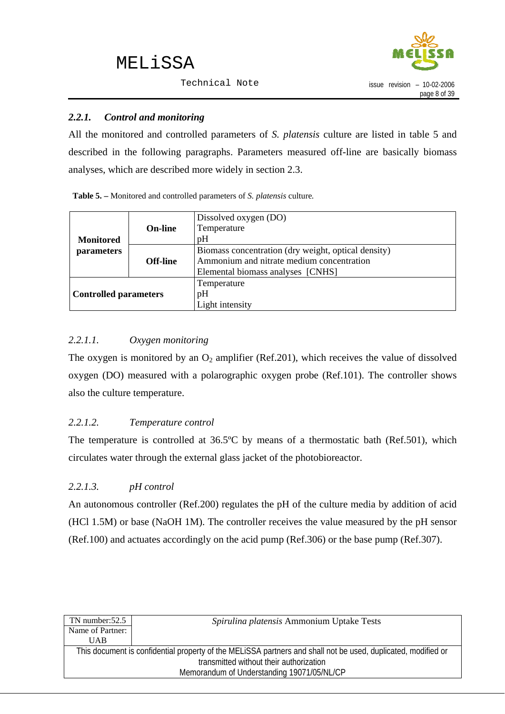Technical Note



#### <span id="page-10-0"></span>*2.2.1. Control and monitoring*

All the monitored and controlled parameters of *S. platensis* culture are listed in table 5 and described in the following paragraphs. Parameters measured off-line are basically biomass analyses, which are described more widely in section 2.3.

| Table 5. – Monitored and controlled parameters of S. platensis culture. |  |
|-------------------------------------------------------------------------|--|
|-------------------------------------------------------------------------|--|

|                              |                 | Dissolved oxygen (DO)                               |
|------------------------------|-----------------|-----------------------------------------------------|
|                              | <b>On-line</b>  | Temperature                                         |
| <b>Monitored</b>             |                 | pH                                                  |
| parameters                   |                 | Biomass concentration (dry weight, optical density) |
|                              | <b>Off-line</b> | Ammonium and nitrate medium concentration           |
|                              |                 | Elemental biomass analyses [CNHS]                   |
|                              |                 | Temperature                                         |
| <b>Controlled parameters</b> |                 | pH                                                  |
|                              |                 | Light intensity                                     |

#### *2.2.1.1. Oxygen monitoring*

The oxygen is monitored by an  $O_2$  amplifier (Ref.201), which receives the value of dissolved oxygen (DO) measured with a polarographic oxygen probe (Ref.101). The controller shows also the culture temperature.

#### *2.2.1.2. Temperature control*

The temperature is controlled at 36.5ºC by means of a thermostatic bath (Ref.501), which circulates water through the external glass jacket of the photobioreactor.

#### *2.2.1.3. pH control*

An autonomous controller (Ref.200) regulates the pH of the culture media by addition of acid (HCl 1.5M) or base (NaOH 1M). The controller receives the value measured by the pH sensor (Ref.100) and actuates accordingly on the acid pump (Ref.306) or the base pump (Ref.307).

| $TN$ number: $52.5$                        | Spirulina platensis Ammonium Uptake Tests                                                                     |  |
|--------------------------------------------|---------------------------------------------------------------------------------------------------------------|--|
| Name of Partner:                           |                                                                                                               |  |
| <b>UAB</b>                                 |                                                                                                               |  |
|                                            | This document is confidential property of the MELiSSA partners and shall not be used, duplicated, modified or |  |
| transmitted without their authorization    |                                                                                                               |  |
| Memorandum of Understanding 19071/05/NL/CP |                                                                                                               |  |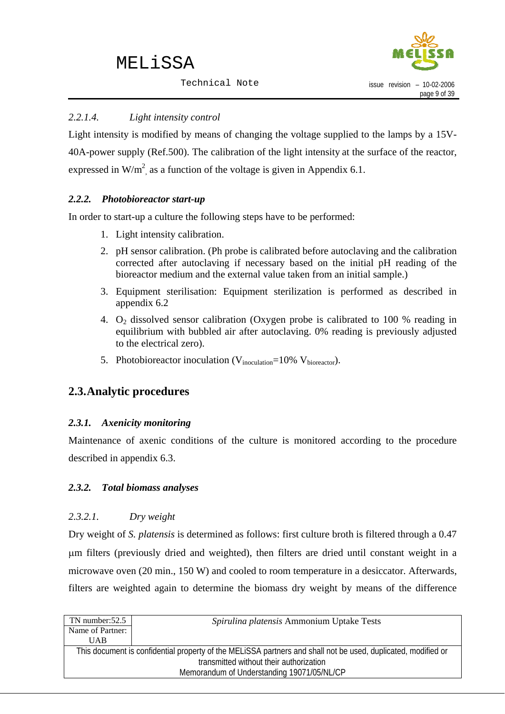

### <span id="page-11-0"></span>*2.2.1.4. Light intensity control*

Light intensity is modified by means of changing the voltage supplied to the lamps by a 15V-40A-power supply (Ref.500). The calibration of the light intensity at the surface of the reactor, expressed in W/m<sup>2</sup>, as a function of the voltage is given in Appendix 6.1.

### *2.2.2. Photobioreactor start-up*

In order to start-up a culture the following steps have to be performed:

- 1. Light intensity calibration.
- 2. pH sensor calibration. (Ph probe is calibrated before autoclaving and the calibration corrected after autoclaving if necessary based on the initial pH reading of the bioreactor medium and the external value taken from an initial sample.)
- 3. Equipment sterilisation: Equipment sterilization is performed as described in appendix 6.2
- 4.  $O_2$  dissolved sensor calibration (Oxygen probe is calibrated to 100 % reading in equilibrium with bubbled air after autoclaving. 0% reading is previously adjusted to the electrical zero).
- 5. Photobioreactor inoculation ( $V_{inoculation}$ =10%  $V_{bioreactor}$ ).

### **2.3.Analytic procedures**

#### *2.3.1. Axenicity monitoring*

Maintenance of axenic conditions of the culture is monitored according to the procedure described in appendix 6.3.

#### *2.3.2. Total biomass analyses*

#### *2.3.2.1. Dry weight*

Dry weight of *S. platensis* is determined as follows: first culture broth is filtered through a 0.47 μm filters (previously dried and weighted), then filters are dried until constant weight in a microwave oven (20 min., 150 W) and cooled to room temperature in a desiccator. Afterwards, filters are weighted again to determine the biomass dry weight by means of the difference

| Spirulina platensis Ammonium Uptake Tests                                                                     |  |
|---------------------------------------------------------------------------------------------------------------|--|
|                                                                                                               |  |
|                                                                                                               |  |
| This document is confidential property of the MELISSA partners and shall not be used, duplicated, modified or |  |
| transmitted without their authorization                                                                       |  |
| Memorandum of Understanding 19071/05/NL/CP                                                                    |  |
|                                                                                                               |  |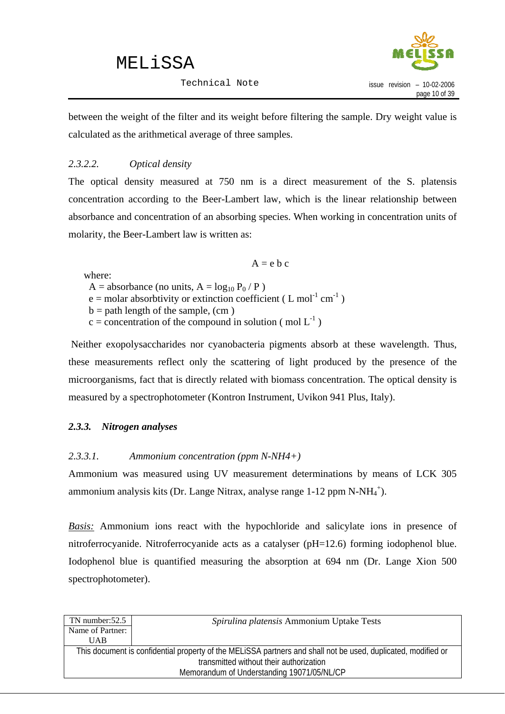

<span id="page-12-0"></span>between the weight of the filter and its weight before filtering the sample. Dry weight value is calculated as the arithmetical average of three samples.

### *2.3.2.2. Optical density*

The optical density measured at 750 nm is a direct measurement of the S. platensis concentration according to the Beer-Lambert law, which is the linear relationship between absorbance and concentration of an absorbing species. When working in concentration units of molarity, the Beer-Lambert law is written as:

 $A = e b c$ 

where:

- A = absorbance (no units,  $A = log_{10} P_0 / P$ )
- $e =$  molar absorbtivity or extinction coefficient (L mol<sup>-1</sup> cm<sup>-1</sup>)
- $b =$  path length of the sample, (cm)
- $c =$  concentration of the compound in solution (mol  $L^{-1}$ )

 Neither exopolysaccharides nor cyanobacteria pigments absorb at these wavelength. Thus, these measurements reflect only the scattering of light produced by the presence of the microorganisms, fact that is directly related with biomass concentration. The optical density is measured by a spectrophotometer (Kontron Instrument, Uvikon 941 Plus, Italy).

#### *2.3.3. Nitrogen analyses*

#### *2.3.3.1. Ammonium concentration (ppm N-NH4+)*

Ammonium was measured using UV measurement determinations by means of LCK 305 ammonium analysis kits (Dr. Lange Nitrax, analyse range  $1-12$  ppm N-NH $_4^+$ ).

*Basis:* Ammonium ions react with the hypochloride and salicylate ions in presence of nitroferrocyanide. Nitroferrocyanide acts as a catalyser (pH=12.6) forming iodophenol blue. Iodophenol blue is quantified measuring the absorption at 694 nm (Dr. Lange Xion 500 spectrophotometer).

| Spirulina platensis Ammonium Uptake Tests                                                                     |  |  |
|---------------------------------------------------------------------------------------------------------------|--|--|
|                                                                                                               |  |  |
|                                                                                                               |  |  |
| This document is confidential property of the MELISSA partners and shall not be used, duplicated, modified or |  |  |
| transmitted without their authorization                                                                       |  |  |
| Memorandum of Understanding 19071/05/NL/CP                                                                    |  |  |
|                                                                                                               |  |  |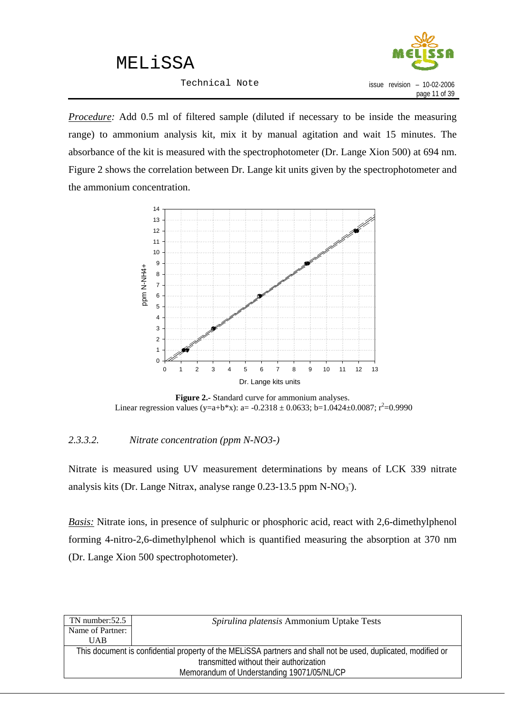Technical Note



*Procedure:* Add 0.5 ml of filtered sample (diluted if necessary to be inside the measuring range) to ammonium analysis kit, mix it by manual agitation and wait 15 minutes. The absorbance of the kit is measured with the spectrophotometer (Dr. Lange Xion 500) at 694 nm. Figure 2 shows the correlation between Dr. Lange kit units given by the spectrophotometer and the ammonium concentration.



**Figure 2.-** Standard curve for ammonium analyses. Linear regression values (y=a+b\*x): a= -0.2318 ± 0.0633; b=1.0424±0.0087; r<sup>2</sup>=0.9990

#### *2.3.3.2. Nitrate concentration (ppm N-NO3-)*

Nitrate is measured using UV measurement determinations by means of LCK 339 nitrate analysis kits (Dr. Lange Nitrax, analyse range  $0.23$ -13.5 ppm N-NO<sub>3</sub><sup>-</sup>).

*Basis:* Nitrate ions, in presence of sulphuric or phosphoric acid, react with 2,6-dimethylphenol forming 4-nitro-2,6-dimethylphenol which is quantified measuring the absorption at 370 nm (Dr. Lange Xion 500 spectrophotometer).

| TN number: $52.5$ | Spirulina platensis Ammonium Uptake Tests                                                                     |
|-------------------|---------------------------------------------------------------------------------------------------------------|
| Name of Partner:  |                                                                                                               |
| UAB               |                                                                                                               |
|                   | This document is confidential property of the MELISSA partners and shall not be used, duplicated, modified or |
|                   | transmitted without their authorization                                                                       |
|                   | Memorandum of Understanding 19071/05/NL/CP                                                                    |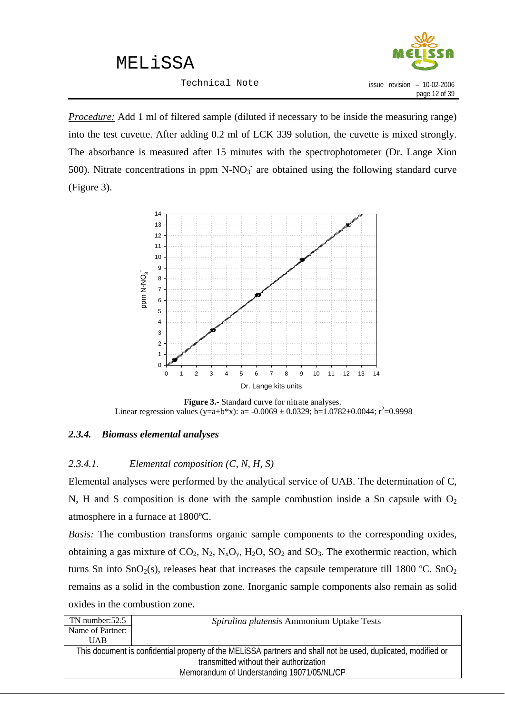Technical Note



<span id="page-14-0"></span>*Procedure:* Add 1 ml of filtered sample (diluted if necessary to be inside the measuring range) into the test cuvette. After adding 0.2 ml of LCK 339 solution, the cuvette is mixed strongly. The absorbance is measured after 15 minutes with the spectrophotometer (Dr. Lange Xion 500). Nitrate concentrations in ppm  $N-NO<sub>3</sub>$  are obtained using the following standard curve (Figure 3).



**Figure 3.-** Standard curve for nitrate analyses. Linear regression values (y=a+b\*x): a= -0.0069 ± 0.0329; b=1.0782±0.0044; r<sup>2</sup>=0.9998

#### *2.3.4. Biomass elemental analyses*

#### *2.3.4.1. Elemental composition (C, N, H, S)*

Elemental analyses were performed by the analytical service of UAB. The determination of C, N, H and S composition is done with the sample combustion inside a Sn capsule with  $O<sub>2</sub>$ atmosphere in a furnace at 1800ºC.

*Basis:* The combustion transforms organic sample components to the corresponding oxides, obtaining a gas mixture of  $CO_2$ ,  $N_2$ ,  $N_xO_y$ ,  $H_2O$ ,  $SO_2$  and  $SO_3$ . The exothermic reaction, which turns Sn into SnO<sub>2</sub>(s), releases heat that increases the capsule temperature till 1800 °C. SnO<sub>2</sub> remains as a solid in the combustion zone. Inorganic sample components also remain as solid oxides in the combustion zone.

| $TN$ number: $52.5$ | Spirulina platensis Ammonium Uptake Tests                                                                     |
|---------------------|---------------------------------------------------------------------------------------------------------------|
| Name of Partner:    |                                                                                                               |
| <b>UAB</b>          |                                                                                                               |
|                     | This document is confidential property of the MELISSA partners and shall not be used, duplicated, modified or |
|                     | transmitted without their authorization                                                                       |
|                     | Memorandum of Understanding 19071/05/NL/CP                                                                    |
|                     |                                                                                                               |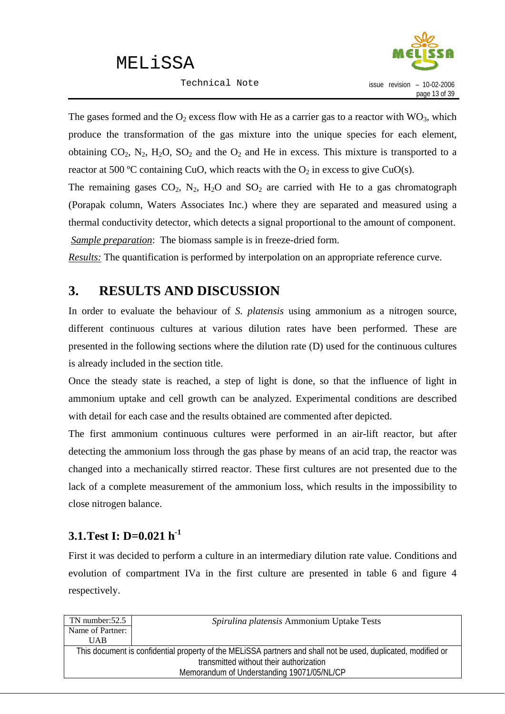Technical Note



<span id="page-15-0"></span>The gases formed and the  $O_2$  excess flow with He as a carrier gas to a reactor with  $WO_3$ , which produce the transformation of the gas mixture into the unique species for each element, obtaining  $CO_2$ ,  $N_2$ ,  $H_2O$ ,  $SO_2$  and the  $O_2$  and He in excess. This mixture is transported to a reactor at 500 °C containing CuO, which reacts with the  $O_2$  in excess to give CuO(s).

The remaining gases  $CO_2$ ,  $N_2$ ,  $H_2O$  and  $SO_2$  are carried with He to a gas chromatograph (Porapak column, Waters Associates Inc.) where they are separated and measured using a thermal conductivity detector, which detects a signal proportional to the amount of component. *Sample preparation*: The biomass sample is in freeze-dried form.

*Results:* The quantification is performed by interpolation on an appropriate reference curve.

### **3. RESULTS AND DISCUSSION**

In order to evaluate the behaviour of *S. platensis* using ammonium as a nitrogen source, different continuous cultures at various dilution rates have been performed. These are presented in the following sections where the dilution rate (D) used for the continuous cultures is already included in the section title.

Once the steady state is reached, a step of light is done, so that the influence of light in ammonium uptake and cell growth can be analyzed. Experimental conditions are described with detail for each case and the results obtained are commented after depicted.

The first ammonium continuous cultures were performed in an air-lift reactor, but after detecting the ammonium loss through the gas phase by means of an acid trap, the reactor was changed into a mechanically stirred reactor. These first cultures are not presented due to the lack of a complete measurement of the ammonium loss, which results in the impossibility to close nitrogen balance.

### **3.1.Test I: D=0.021 h-1**

First it was decided to perform a culture in an intermediary dilution rate value. Conditions and evolution of compartment IVa in the first culture are presented in table 6 and figure 4 respectively.

| $TN$ number: $52.5$ | Spirulina platensis Ammonium Uptake Tests                                                                     |
|---------------------|---------------------------------------------------------------------------------------------------------------|
| Name of Partner:    |                                                                                                               |
| <b>UAB</b>          |                                                                                                               |
|                     | This document is confidential property of the MELISSA partners and shall not be used, duplicated, modified or |
|                     | transmitted without their authorization                                                                       |
|                     | Memorandum of Understanding 19071/05/NL/CP                                                                    |
|                     |                                                                                                               |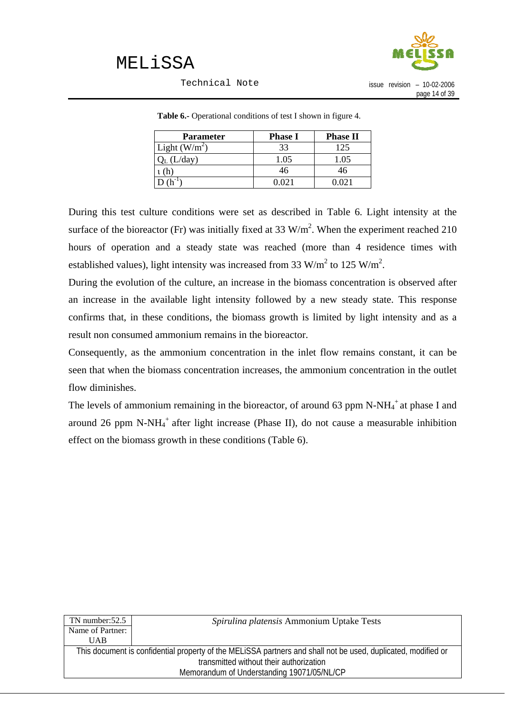

#### Technical Note

issue revision – 10-02-2006 page 14 of 39

| <b>Parameter</b> | <b>Phase I</b> | <b>Phase II</b> |
|------------------|----------------|-----------------|
| Light $(W/m^2)$  | 33             | 125             |
| ./day)           | 1.05           | 0.05            |
|                  | 46             | 46              |
|                  | 1021           | ) () 21         |

**Table 6.-** Operational conditions of test I shown in figure 4.

During this test culture conditions were set as described in Table 6. Light intensity at the surface of the bioreactor (Fr) was initially fixed at 33  $W/m<sup>2</sup>$ . When the experiment reached 210 hours of operation and a steady state was reached (more than 4 residence times with established values), light intensity was increased from 33 W/m<sup>2</sup> to 125 W/m<sup>2</sup>.

During the evolution of the culture, an increase in the biomass concentration is observed after an increase in the available light intensity followed by a new steady state. This response confirms that, in these conditions, the biomass growth is limited by light intensity and as a result non consumed ammonium remains in the bioreactor.

Consequently, as the ammonium concentration in the inlet flow remains constant, it can be seen that when the biomass concentration increases, the ammonium concentration in the outlet flow diminishes.

The levels of ammonium remaining in the bioreactor, of around 63 ppm N-NH $_4^+$  at phase I and around 26 ppm N-N $H_4$ <sup>+</sup> after light increase (Phase II), do not cause a measurable inhibition effect on the biomass growth in these conditions (Table 6).

| $TN$ number: $52.5$ | Spirulina platensis Ammonium Uptake Tests                                                                     |
|---------------------|---------------------------------------------------------------------------------------------------------------|
| Name of Partner:    |                                                                                                               |
| UAB                 |                                                                                                               |
|                     | This document is confidential property of the MELISSA partners and shall not be used, duplicated, modified or |
|                     | transmitted without their authorization                                                                       |
|                     | Memorandum of Understanding 19071/05/NL/CP                                                                    |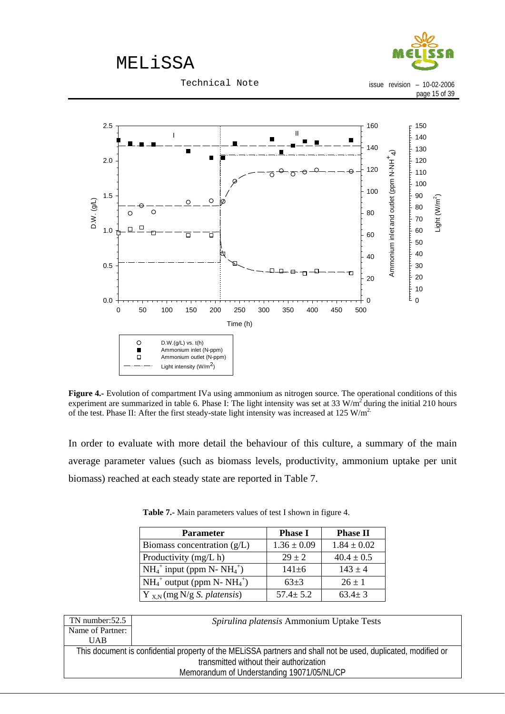

**Figure 4.-** Evolution of compartment IVa using ammonium as nitrogen source. The operational conditions of this experiment are summarized in table 6. Phase I: The light intensity was set at  $33 \text{ W/m}^2$  during the initial 210 hours of the test. Phase II: After the first steady-state light intensity was increased at 125 W/m<sup>2</sup>.

In order to evaluate with more detail the behaviour of this culture, a summary of the main average parameter values (such as biomass levels, productivity, ammonium uptake per unit biomass) reached at each steady state are reported in Table 7.

| <b>Parameter</b>                        | <b>Phase I</b>  | <b>Phase II</b> |
|-----------------------------------------|-----------------|-----------------|
| Biomass concentration $(g/L)$           | $1.36 \pm 0.09$ | $1.84 \pm 0.02$ |
| Productivity (mg/L h)                   | $29 \pm 2$      | $40.4 \pm 0.5$  |
| $NH_4^+$ input (ppm N- $NH_4^+$ )       | $141 \pm 6$     | $143 \pm 4$     |
| $NH_4^+$ output (ppm N- $NH_4^+)$       | $63+3$          | $26 \pm 1$      |
| $Y_{X,N}$ (mg N/g <i>S. platensis</i> ) | $57.4 \pm 5.2$  | $63.4 \pm 3$    |

|  | Table 7.- Main parameters values of test I shown in figure 4. |
|--|---------------------------------------------------------------|

| $TN$ number: $52.5$ | Spirulina platensis Ammonium Uptake Tests                                                                     |
|---------------------|---------------------------------------------------------------------------------------------------------------|
| Name of Partner:    |                                                                                                               |
| UAB                 |                                                                                                               |
|                     | This document is confidential property of the MELISSA partners and shall not be used, duplicated, modified or |
|                     | transmitted without their authorization                                                                       |
|                     | Memorandum of Understanding 19071/05/NL/CP                                                                    |
|                     |                                                                                                               |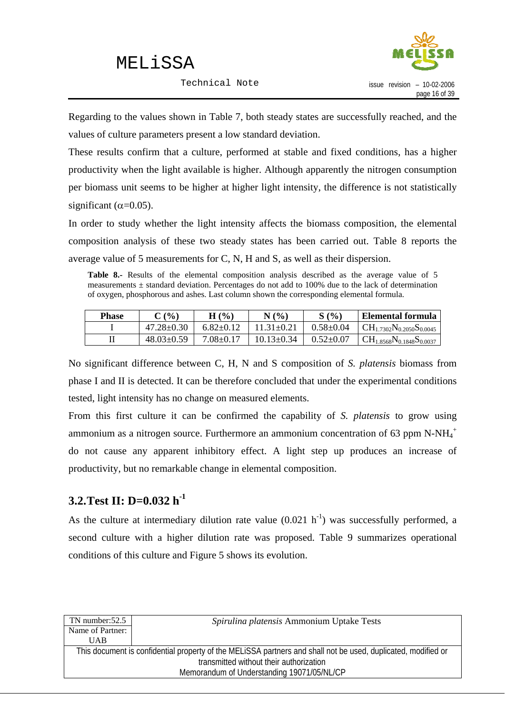Technical Note



<span id="page-18-0"></span>Regarding to the values shown in Table 7, both steady states are successfully reached, and the values of culture parameters present a low standard deviation.

These results confirm that a culture, performed at stable and fixed conditions, has a higher productivity when the light available is higher. Although apparently the nitrogen consumption per biomass unit seems to be higher at higher light intensity, the difference is not statistically significant ( $\alpha$ =0.05).

In order to study whether the light intensity affects the biomass composition, the elemental composition analysis of these two steady states has been carried out. Table 8 reports the average value of 5 measurements for C, N, H and S, as well as their dispersion.

Table 8.- Results of the elemental composition analysis described as the average value of 5 measurements  $\pm$  standard deviation. Percentages do not add to 100% due to the lack of determination of oxygen, phosphorous and ashes. Last column shown the corresponding elemental formula.

| <b>Phase</b> | (%               | $($ %)<br>Н   | N(%              | S(%               | Elemental formula                 |
|--------------|------------------|---------------|------------------|-------------------|-----------------------------------|
|              | $47.28 \pm 0.30$ | $6.82+0.12$   | $11.31 \pm 0.21$ | $0.58 \pm 0.04$   | $CH_{1.7302}N_{0.2050}S_{0.0045}$ |
|              | $48.03 \pm 0.59$ | $7.08 + 0.17$ | $10.13 \pm 0.34$ | $0.52 {\pm} 0.07$ | $CH_{1.8568}N_{0.1848}S_{0.0037}$ |

No significant difference between C, H, N and S composition of *S. platensis* biomass from phase I and II is detected. It can be therefore concluded that under the experimental conditions tested, light intensity has no change on measured elements.

From this first culture it can be confirmed the capability of *S. platensis* to grow using ammonium as a nitrogen source. Furthermore an ammonium concentration of 63 ppm N-NH<sub>4</sub><sup>+</sup> do not cause any apparent inhibitory effect. A light step up produces an increase of productivity, but no remarkable change in elemental composition.

### **3.2.Test II: D=0.032 h-1**

As the culture at intermediary dilution rate value  $(0.021 \text{ h}^{-1})$  was successfully performed, a second culture with a higher dilution rate was proposed. Table 9 summarizes operational conditions of this culture and Figure 5 shows its evolution.

| TN number: $52.5$ | Spirulina platensis Ammonium Uptake Tests                                                                     |
|-------------------|---------------------------------------------------------------------------------------------------------------|
| Name of Partner:  |                                                                                                               |
| <b>UAB</b>        |                                                                                                               |
|                   | This document is confidential property of the MELISSA partners and shall not be used, duplicated, modified or |
|                   | transmitted without their authorization                                                                       |
|                   | Memorandum of Understanding 19071/05/NL/CP                                                                    |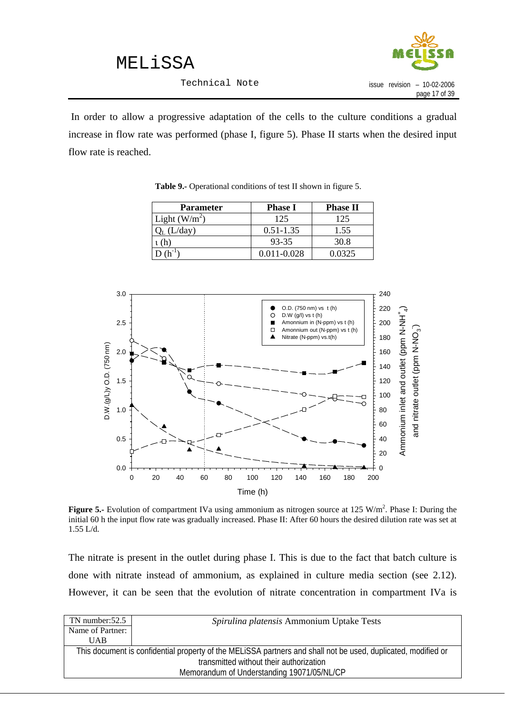

 In order to allow a progressive adaptation of the cells to the culture conditions a gradual increase in flow rate was performed (phase I, figure 5). Phase II starts when the desired input flow rate is reached.

| <b>Parameter</b> | <b>Phase I</b> | <b>Phase II</b> |
|------------------|----------------|-----------------|
| Light $(W/m^2)$  | 125            | 125             |
| (L/day)          | $0.51 - 1.35$  | 1.55            |
|                  | 93-35          | 30.8            |
|                  | 0.011-0.028    | 0.0325          |

**Table 9.-** Operational conditions of test II shown in figure 5.



**Figure 5.-** Evolution of compartment IVa using ammonium as nitrogen source at 125 W/m<sup>2</sup>. Phase I: During the initial 60 h the input flow rate was gradually increased. Phase II: After 60 hours the desired dilution rate was set at 1.55 L/d.

The nitrate is present in the outlet during phase I. This is due to the fact that batch culture is done with nitrate instead of ammonium, as explained in culture media section (see 2.12). However, it can be seen that the evolution of nitrate concentration in compartment IVa is

| $TN$ number: $52.5$ | Spirulina platensis Ammonium Uptake Tests                                                                     |
|---------------------|---------------------------------------------------------------------------------------------------------------|
| Name of Partner:    |                                                                                                               |
| <b>UAB</b>          |                                                                                                               |
|                     | This document is confidential property of the MELISSA partners and shall not be used, duplicated, modified or |
|                     | transmitted without their authorization                                                                       |
|                     | Memorandum of Understanding 19071/05/NL/CP                                                                    |
|                     |                                                                                                               |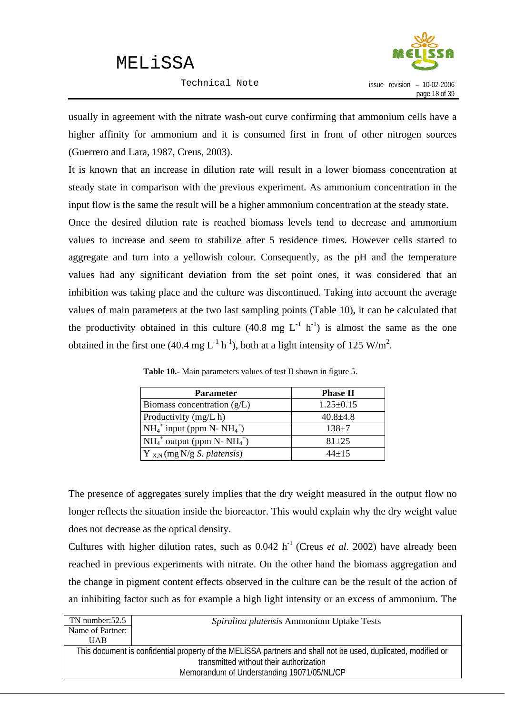

usually in agreement with the nitrate wash-out curve confirming that ammonium cells have a higher affinity for ammonium and it is consumed first in front of other nitrogen sources (Guerrero and Lara, 1987, Creus, 2003).

It is known that an increase in dilution rate will result in a lower biomass concentration at steady state in comparison with the previous experiment. As ammonium concentration in the input flow is the same the result will be a higher ammonium concentration at the steady state.

Once the desired dilution rate is reached biomass levels tend to decrease and ammonium values to increase and seem to stabilize after 5 residence times. However cells started to aggregate and turn into a yellowish colour. Consequently, as the pH and the temperature values had any significant deviation from the set point ones, it was considered that an inhibition was taking place and the culture was discontinued. Taking into account the average values of main parameters at the two last sampling points (Table 10), it can be calculated that the productivity obtained in this culture  $(40.8 \text{ mg } L^{-1} \text{ h}^{-1})$  is almost the same as the one obtained in the first one (40.4 mg  $L^{-1}$  h<sup>-1</sup>), both at a light intensity of 125 W/m<sup>2</sup>.

| <b>Parameter</b>                        | <b>Phase II</b> |
|-----------------------------------------|-----------------|
| Biomass concentration $(g/L)$           | $1.25 \pm 0.15$ |
| Productivity (mg/L h)                   | $40.8 \pm 4.8$  |
| $NH_4^+$ input (ppm N- $NH_4^+$ )       | $138 + 7$       |
| $NH_4^+$ output (ppm N- $NH_4^+)$       | $81 + 25$       |
| $Y_{X,N}$ (mg N/g <i>S. platensis</i> ) | $44 + 15$       |

**Table 10.-** Main parameters values of test II shown in figure 5.

The presence of aggregates surely implies that the dry weight measured in the output flow no longer reflects the situation inside the bioreactor. This would explain why the dry weight value does not decrease as the optical density.

Cultures with higher dilution rates, such as  $0.042$  h<sup>-1</sup> (Creus *et al.* 2002) have already been reached in previous experiments with nitrate. On the other hand the biomass aggregation and the change in pigment content effects observed in the culture can be the result of the action of an inhibiting factor such as for example a high light intensity or an excess of ammonium. The

| TN number: $52.5$ | Spirulina platensis Ammonium Uptake Tests                                                                     |
|-------------------|---------------------------------------------------------------------------------------------------------------|
| Name of Partner:  |                                                                                                               |
| UAB               |                                                                                                               |
|                   | This document is confidential property of the MELISSA partners and shall not be used, duplicated, modified or |
|                   | transmitted without their authorization                                                                       |
|                   | Memorandum of Understanding 19071/05/NL/CP                                                                    |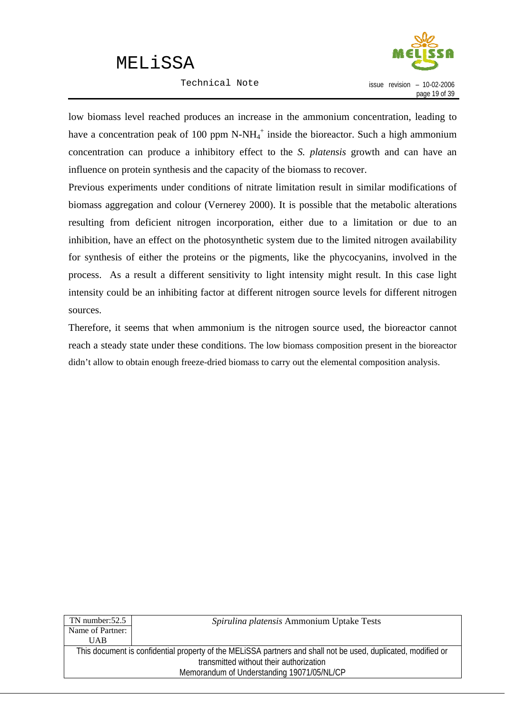Technical Note



low biomass level reached produces an increase in the ammonium concentration, leading to have a concentration peak of 100 ppm  $N-NH_4^+$  inside the bioreactor. Such a high ammonium concentration can produce a inhibitory effect to the *S. platensis* growth and can have an influence on protein synthesis and the capacity of the biomass to recover.

Previous experiments under conditions of nitrate limitation result in similar modifications of biomass aggregation and colour (Vernerey 2000). It is possible that the metabolic alterations resulting from deficient nitrogen incorporation, either due to a limitation or due to an inhibition, have an effect on the photosynthetic system due to the limited nitrogen availability for synthesis of either the proteins or the pigments, like the phycocyanins, involved in the process. As a result a different sensitivity to light intensity might result. In this case light intensity could be an inhibiting factor at different nitrogen source levels for different nitrogen sources.

Therefore, it seems that when ammonium is the nitrogen source used, the bioreactor cannot reach a steady state under these conditions. The low biomass composition present in the bioreactor didn't allow to obtain enough freeze-dried biomass to carry out the elemental composition analysis.

| TN number:52.5   | Spirulina platensis Ammonium Uptake Tests                                                                     |  |
|------------------|---------------------------------------------------------------------------------------------------------------|--|
| Name of Partner: |                                                                                                               |  |
| UAB              |                                                                                                               |  |
|                  | This document is confidential property of the MELISSA partners and shall not be used, duplicated, modified or |  |
|                  | transmitted without their authorization                                                                       |  |
|                  | Memorandum of Understanding 19071/05/NL/CP                                                                    |  |
|                  |                                                                                                               |  |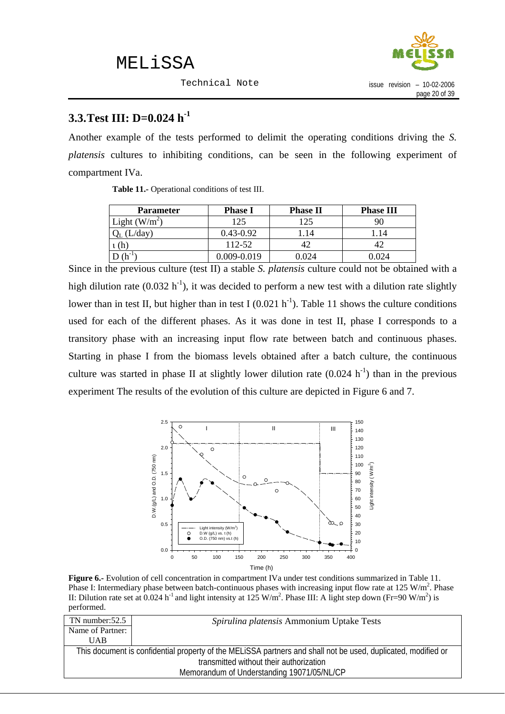

### <span id="page-22-0"></span>**3.3.Test III: D=0.024 h-1**

Another example of the tests performed to delimit the operating conditions driving the *S. platensis* cultures to inhibiting conditions, can be seen in the following experiment of compartment IVa.

| <b>Parameter</b> | <b>Phase I</b> | <b>Phase II</b> | <b>Phase III</b> |
|------------------|----------------|-----------------|------------------|
| Light $(W/m^2)$  | 125            | 125             | 90               |
| (L/day)          | $0.43 - 0.92$  | .14             | 1.14             |
| $\iota$ (h       | 112-52         |                 |                  |
|                  | 0.009-0.019    | 0.024           | 0.024            |

**Table 11.-** Operational conditions of test III.

Since in the previous culture (test II) a stable *S. platensis* culture could not be obtained with a high dilution rate (0.032 h<sup>-1</sup>), it was decided to perform a new test with a dilution rate slightly lower than in test II, but higher than in test I  $(0.021 h<sup>-1</sup>)$ . Table 11 shows the culture conditions used for each of the different phases. As it was done in test II, phase I corresponds to a transitory phase with an increasing input flow rate between batch and continuous phases. Starting in phase I from the biomass levels obtained after a batch culture, the continuous culture was started in phase II at slightly lower dilution rate  $(0.024 \text{ h}^{-1})$  than in the previous experiment The results of the evolution of this culture are depicted in Figure 6 and 7.



**Figure 6.-** Evolution of cell concentration in compartment IVa under test conditions summarized in Table 11. Phase I: Intermediary phase between batch-continuous phases with increasing input flow rate at 125 W/m<sup>2</sup>. Phase II: Dilution rate set at 0.024 h<sup>-1</sup> and light intensity at 125 W/m<sup>2</sup>. Phase III: A light step down (Fr=90 W/m<sup>2</sup>) is performed.

| TN number: $52.5$ | Spirulina platensis Ammonium Uptake Tests                                                                     |
|-------------------|---------------------------------------------------------------------------------------------------------------|
| Name of Partner:  |                                                                                                               |
| UAB               |                                                                                                               |
|                   | This document is confidential property of the MELISSA partners and shall not be used, duplicated, modified or |
|                   | transmitted without their authorization                                                                       |
|                   | Memorandum of Understanding 19071/05/NL/CP                                                                    |
|                   |                                                                                                               |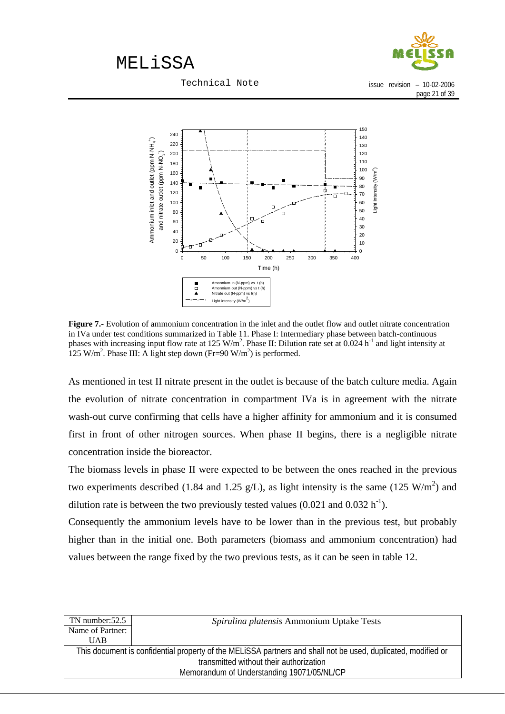

Technical Note

issue revision – 10-02-2006 page 21 of 39



**Figure 7.-** Evolution of ammonium concentration in the inlet and the outlet flow and outlet nitrate concentration in IVa under test conditions summarized in Table 11. Phase I: Intermediary phase between batch-continuous phases with increasing input flow rate at 125 W/m<sup>2</sup>. Phase II: Dilution rate set at 0.024 h<sup>-1</sup> and light intensity at 125 W/m<sup>2</sup>. Phase III: A light step down (Fr=90 W/m<sup>2</sup>) is performed.

As mentioned in test II nitrate present in the outlet is because of the batch culture media. Again the evolution of nitrate concentration in compartment IVa is in agreement with the nitrate wash-out curve confirming that cells have a higher affinity for ammonium and it is consumed first in front of other nitrogen sources. When phase II begins, there is a negligible nitrate concentration inside the bioreactor.

The biomass levels in phase II were expected to be between the ones reached in the previous two experiments described (1.84 and 1.25 g/L), as light intensity is the same (125 W/m<sup>2</sup>) and dilution rate is between the two previously tested values  $(0.021 \text{ and } 0.032 \text{ h}^{-1})$ .

Consequently the ammonium levels have to be lower than in the previous test, but probably higher than in the initial one. Both parameters (biomass and ammonium concentration) had values between the range fixed by the two previous tests, as it can be seen in table 12.

| $TN$ number: $52.5$ | Spirulina platensis Ammonium Uptake Tests                                                                     |
|---------------------|---------------------------------------------------------------------------------------------------------------|
| Name of Partner:    |                                                                                                               |
| <b>UAB</b>          |                                                                                                               |
|                     | This document is confidential property of the MELISSA partners and shall not be used, duplicated, modified or |
|                     | transmitted without their authorization                                                                       |
|                     | Memorandum of Understanding 19071/05/NL/CP                                                                    |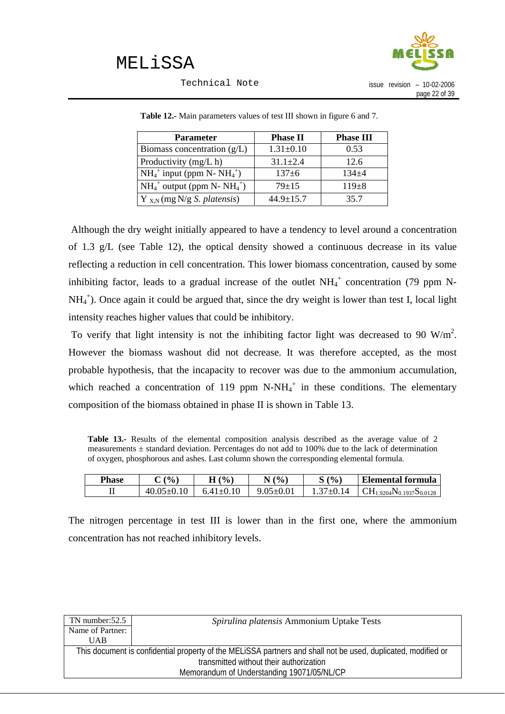

Technical Note

| issue revision | $-10-02-2006$ |
|----------------|---------------|
|                | page 22 of 39 |

| <b>Parameter</b>                        | <b>Phase II</b> | <b>Phase III</b> |
|-----------------------------------------|-----------------|------------------|
| Biomass concentration $(g/L)$           | $1.31 \pm 0.10$ | 0.53             |
| Productivity (mg/L h)                   | $31.1 \pm 2.4$  | 12.6             |
| $NH_4^+$ input (ppm N- $NH_4^+$ )       | $137+6$         | $134 + 4$        |
| $NH_4^+$ output (ppm N- $NH_4^+)$       | $79 + 15$       | $119+8$          |
| $Y_{X,N}$ (mg N/g <i>S. platensis</i> ) | $44.9 \pm 15.7$ | 35.7             |

**Table 12.-** Main parameters values of test III shown in figure 6 and 7.

 Although the dry weight initially appeared to have a tendency to level around a concentration of 1.3 g/L (see Table 12), the optical density showed a continuous decrease in its value reflecting a reduction in cell concentration. This lower biomass concentration, caused by some inhibiting factor, leads to a gradual increase of the outlet  $NH_4^+$  concentration (79 ppm N-NH<sub>4</sub><sup>+</sup>). Once again it could be argued that, since the dry weight is lower than test I, local light intensity reaches higher values that could be inhibitory.

To verify that light intensity is not the inhibiting factor light was decreased to 90  $W/m<sup>2</sup>$ . However the biomass washout did not decrease. It was therefore accepted, as the most probable hypothesis, that the incapacity to recover was due to the ammonium accumulation, which reached a concentration of 119 ppm  $N-NH_4^+$  in these conditions. The elementary composition of the biomass obtained in phase II is shown in Table 13.

**Table 13.-** Results of the elemental composition analysis described as the average value of 2 measurements  $\pm$  standard deviation. Percentages do not add to 100% due to the lack of determination of oxygen, phosphorous and ashes. Last column shown the corresponding elemental formula.

| <b>Phase</b> | (%             | $\frac{(0)}{0}$<br> | (9/0)<br>N      | S(% | Elemental formula                                               |
|--------------|----------------|---------------------|-----------------|-----|-----------------------------------------------------------------|
| ᅭ            | $.05 \pm 0.10$ | $64+0$              | $9.05 \pm 0.01$ | 14  | $CH_1$ .<br>$_{1.9204}$ N <sub>0.1937</sub> S <sub>0.0128</sub> |

The nitrogen percentage in test III is lower than in the first one, where the ammonium concentration has not reached inhibitory levels.

| TN number: $52.5$ | Spirulina platensis Ammonium Uptake Tests                                                                     |
|-------------------|---------------------------------------------------------------------------------------------------------------|
| Name of Partner:  |                                                                                                               |
| UAB               |                                                                                                               |
|                   | This document is confidential property of the MELiSSA partners and shall not be used, duplicated, modified or |
|                   | transmitted without their authorization                                                                       |
|                   | Memorandum of Understanding 19071/05/NL/CP                                                                    |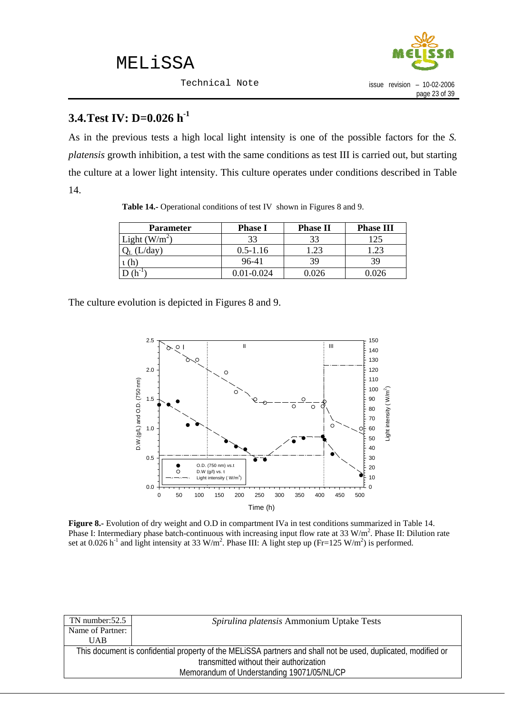

### <span id="page-25-0"></span>**3.4.Test IV: D=0.026 h-1**

As in the previous tests a high local light intensity is one of the possible factors for the *S. platensis* growth inhibition, a test with the same conditions as test III is carried out, but starting the culture at a lower light intensity. This culture operates under conditions described in Table 14.

| <b>Parameter</b> | <b>Phase I</b> | <b>Phase II</b> | <b>Phase III</b> |
|------------------|----------------|-----------------|------------------|
| Light $(W/m^2)$  | 33             | 33              | 125              |
| (L/day)          | $0.5 - 1.16$   | .23             |                  |
| n                | 96-41          | 39              | 39               |
|                  | 0.01-0.024     | .026            |                  |

**Table 14.-** Operational conditions of test IV shown in Figures 8 and 9.

The culture evolution is depicted in Figures 8 and 9.



**Figure 8.-** Evolution of dry weight and O.D in compartment IVa in test conditions summarized in Table 14. Phase I: Intermediary phase batch-continuous with increasing input flow rate at 33 W/m<sup>2</sup>. Phase II: Dilution rate set at 0.026 h<sup>-1</sup> and light intensity at 33 W/m<sup>2</sup>. Phase III: A light step up (Fr=125 W/m<sup>2</sup>) is performed.

| Spirulina platensis Ammonium Uptake Tests                                                                     |
|---------------------------------------------------------------------------------------------------------------|
|                                                                                                               |
|                                                                                                               |
| This document is confidential property of the MELiSSA partners and shall not be used, duplicated, modified or |
| transmitted without their authorization                                                                       |
| Memorandum of Understanding 19071/05/NL/CP                                                                    |
|                                                                                                               |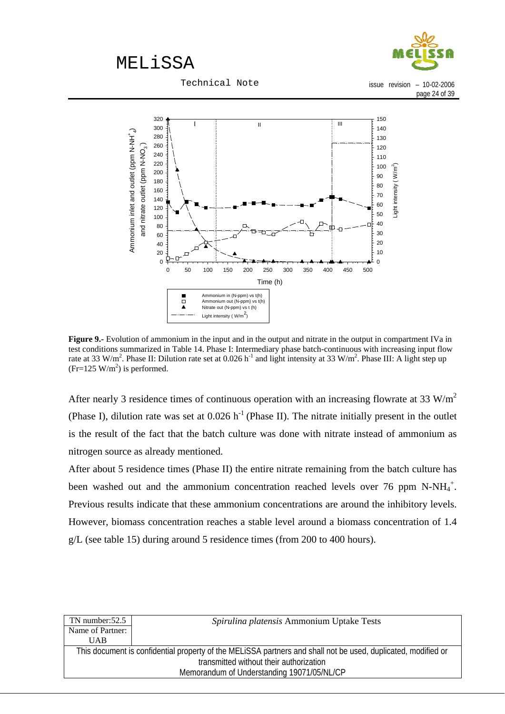

Technical Note

issue revision – 10-02-2006 page 24 of 39



**Figure 9.-** Evolution of ammonium in the input and in the output and nitrate in the output in compartment IVa in test conditions summarized in Table 14. Phase I: Intermediary phase batch-continuous with increasing input flow rate at 33 W/m<sup>2</sup>. Phase II: Dilution rate set at 0.026 h<sup>-1</sup> and light intensity at 33 W/m<sup>2</sup>. Phase III: A light step up  $(Fr=125 \text{ W/m}^2)$  is performed.

After nearly 3 residence times of continuous operation with an increasing flowrate at 33  $W/m<sup>2</sup>$ (Phase I), dilution rate was set at  $0.026$  h<sup>-1</sup> (Phase II). The nitrate initially present in the outlet is the result of the fact that the batch culture was done with nitrate instead of ammonium as nitrogen source as already mentioned.

After about 5 residence times (Phase II) the entire nitrate remaining from the batch culture has been washed out and the ammonium concentration reached levels over 76 ppm N-NH $_4^+$ . Previous results indicate that these ammonium concentrations are around the inhibitory levels. However, biomass concentration reaches a stable level around a biomass concentration of 1.4 g/L (see table 15) during around 5 residence times (from 200 to 400 hours).

| TN number: $52.5$                                                                                             | Spirulina platensis Ammonium Uptake Tests |  |  |  |
|---------------------------------------------------------------------------------------------------------------|-------------------------------------------|--|--|--|
| Name of Partner:                                                                                              |                                           |  |  |  |
| <b>UAB</b>                                                                                                    |                                           |  |  |  |
| This document is confidential property of the MELISSA partners and shall not be used, duplicated, modified or |                                           |  |  |  |
| transmitted without their authorization                                                                       |                                           |  |  |  |
| Memorandum of Understanding 19071/05/NL/CP                                                                    |                                           |  |  |  |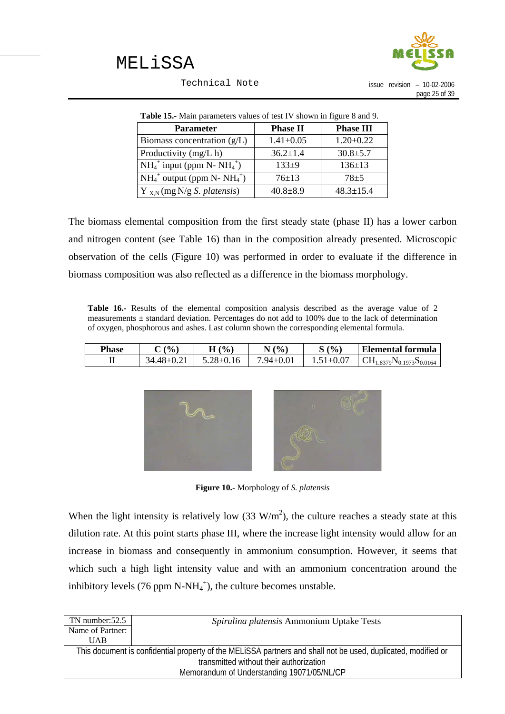

Technical Note

issue revision – 10-02-2006 page 25 of 39

| <b>Table 15.</b> Main parameters values of test IV shown in figure 8 and 9. |                 |                  |  |  |  |
|-----------------------------------------------------------------------------|-----------------|------------------|--|--|--|
| <b>Parameter</b>                                                            | <b>Phase II</b> | <b>Phase III</b> |  |  |  |
| Biomass concentration $(g/L)$                                               | $1.41 \pm 0.05$ | $1.20 \pm 0.22$  |  |  |  |
| Productivity (mg/L h)                                                       | $36.2 \pm 1.4$  | $30.8 \pm 5.7$   |  |  |  |
| $NH_4^+$ input (ppm N- $NH_4^+$ )                                           | $133+9$         | $136 \pm 13$     |  |  |  |
| $NH_4^+$ output (ppm N- $NH_4^+)$                                           | $76 \pm 13$     | $78 + 5$         |  |  |  |
| $Y_{X,N}$ (mg N/g <i>S. platensis</i> )                                     | $40.8 \pm 8.9$  | $48.3 \pm 15.4$  |  |  |  |

| <b>Table 15.-</b> Main parameters values of test IV shown in figure 8 and 9. |  |  |
|------------------------------------------------------------------------------|--|--|
|                                                                              |  |  |

The biomass elemental composition from the first steady state (phase II) has a lower carbon and nitrogen content (see Table 16) than in the composition already presented. Microscopic observation of the cells (Figure 10) was performed in order to evaluate if the difference in biomass composition was also reflected as a difference in the biomass morphology.

**Table 16.-** Results of the elemental composition analysis described as the average value of 2 measurements  $\pm$  standard deviation. Percentages do not add to 100% due to the lack of determination of oxygen, phosphorous and ashes. Last column shown the corresponding elemental formula.

| Phase | $\frac{(0)}{0}$ | (%)<br>Н        | $\frac{(0)}{0}$<br>◥ | S(%            | Elemental formula                     |
|-------|-----------------|-----------------|----------------------|----------------|---------------------------------------|
| ᅭ     | 34 48+0 21      | $5.28 \pm 0.16$ | .94 $\pm 0.01$       | $.51 \pm 0.07$ | $\rm CH_{1.8379}N_{0.1973}S_{0.0164}$ |



**Figure 10.-** Morphology of *S. platensis*

When the light intensity is relatively low  $(33 \text{ W/m}^2)$ , the culture reaches a steady state at this dilution rate. At this point starts phase III, where the increase light intensity would allow for an increase in biomass and consequently in ammonium consumption. However, it seems that which such a high light intensity value and with an ammonium concentration around the inhibitory levels (76 ppm  $N-NH_4^+$ ), the culture becomes unstable.

| $TN$ number: $52.5$                                                                                           | Spirulina platensis Ammonium Uptake Tests |  |  |  |
|---------------------------------------------------------------------------------------------------------------|-------------------------------------------|--|--|--|
| Name of Partner:                                                                                              |                                           |  |  |  |
| <b>UAB</b>                                                                                                    |                                           |  |  |  |
| This document is confidential property of the MELISSA partners and shall not be used, duplicated, modified or |                                           |  |  |  |
|                                                                                                               | transmitted without their authorization   |  |  |  |
| Memorandum of Understanding 19071/05/NL/CP                                                                    |                                           |  |  |  |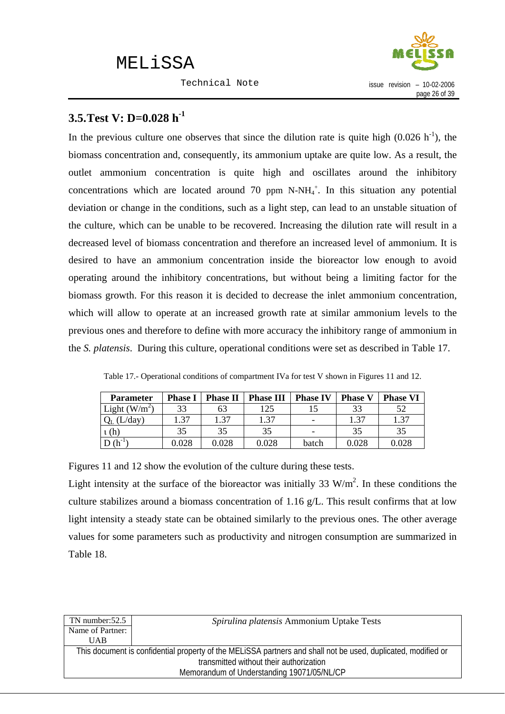Technical Note



### <span id="page-28-0"></span>**3.5.Test V: D=0.028 h-1**

In the previous culture one observes that since the dilution rate is quite high  $(0.026 \text{ h}^{-1})$ , the biomass concentration and, consequently, its ammonium uptake are quite low. As a result, the outlet ammonium concentration is quite high and oscillates around the inhibitory concentrations which are located around 70 ppm  $N-NH_4^+$ . In this situation any potential deviation or change in the conditions, such as a light step, can lead to an unstable situation of the culture, which can be unable to be recovered. Increasing the dilution rate will result in a decreased level of biomass concentration and therefore an increased level of ammonium. It is desired to have an ammonium concentration inside the bioreactor low enough to avoid operating around the inhibitory concentrations, but without being a limiting factor for the biomass growth. For this reason it is decided to decrease the inlet ammonium concentration, which will allow to operate at an increased growth rate at similar ammonium levels to the previous ones and therefore to define with more accuracy the inhibitory range of ammonium in the *S. platensis*. During this culture, operational conditions were set as described in Table 17.

| <b>Parameter</b> | <b>Phase I</b> | <b>Phase II</b> | <b>Phase III</b> | <b>Phase IV</b> | <b>Phase V</b> | <b>Phase VI</b> |
|------------------|----------------|-----------------|------------------|-----------------|----------------|-----------------|
| Light $(W/m^2)$  | 33             | 63              | 125              |                 | 33             | 52              |
| (L/day)          | 1.37           | 1.37            | 1.37             | -               | 1.37           | 1.37            |
| ι (h)            | 35             | 35              | 35               |                 | 35             | 35              |
| $\sqrt{h}$       | 0.028          | 0.028           | 0.028            | batch           | $\,0.028\,$    | $0.028\,$       |

Table 17.- Operational conditions of compartment IVa for test V shown in Figures 11 and 12.

Figures 11 and 12 show the evolution of the culture during these tests.

Light intensity at the surface of the bioreactor was initially 33  $W/m<sup>2</sup>$ . In these conditions the culture stabilizes around a biomass concentration of 1.16 g/L. This result confirms that at low light intensity a steady state can be obtained similarly to the previous ones. The other average values for some parameters such as productivity and nitrogen consumption are summarized in Table 18.

| TN number: $52.5$                                                                                             | Spirulina platensis Ammonium Uptake Tests |  |  |  |
|---------------------------------------------------------------------------------------------------------------|-------------------------------------------|--|--|--|
| Name of Partner:                                                                                              |                                           |  |  |  |
| <b>UAB</b>                                                                                                    |                                           |  |  |  |
| This document is confidential property of the MELISSA partners and shall not be used, duplicated, modified or |                                           |  |  |  |
| transmitted without their authorization                                                                       |                                           |  |  |  |
| Memorandum of Understanding 19071/05/NL/CP                                                                    |                                           |  |  |  |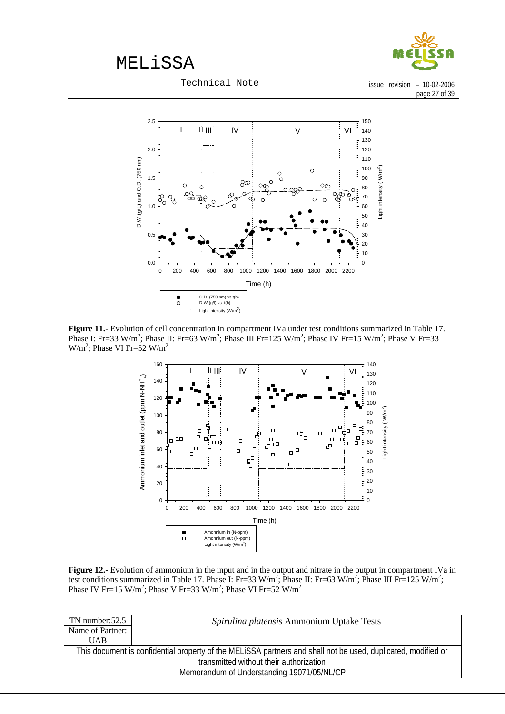

Technical Note

issue revision – 10-02-2006 page 27 of 39



**Figure 11.-** Evolution of cell concentration in compartment IVa under test conditions summarized in Table 17. Phase I: Fr=33 W/m<sup>2</sup>; Phase II: Fr=63 W/m<sup>2</sup>; Phase III Fr=125 W/m<sup>2</sup>; Phase IV Fr=15 W/m<sup>2</sup>; Phase V Fr=33  $W/m^2$ ; Phase VI Fr=52  $W/m^2$ 



**Figure 12.-** Evolution of ammonium in the input and in the output and nitrate in the output in compartment IVa in test conditions summarized in Table 17. Phase I: Fr=33 W/m<sup>2</sup>; Phase II: Fr=63 W/m<sup>2</sup>; Phase III Fr=125 W/m<sup>2</sup>; Phase IV Fr=15 W/m<sup>2</sup>; Phase V Fr=33 W/m<sup>2</sup>; Phase VI Fr=52 W/m<sup>2</sup>

| $TN$ number: $52.5$                                                                                           | Spirulina platensis Ammonium Uptake Tests |  |  |  |
|---------------------------------------------------------------------------------------------------------------|-------------------------------------------|--|--|--|
| Name of Partner:                                                                                              |                                           |  |  |  |
| <b>UAB</b>                                                                                                    |                                           |  |  |  |
| This document is confidential property of the MELISSA partners and shall not be used, duplicated, modified or |                                           |  |  |  |
|                                                                                                               | transmitted without their authorization   |  |  |  |
| Memorandum of Understanding 19071/05/NL/CP                                                                    |                                           |  |  |  |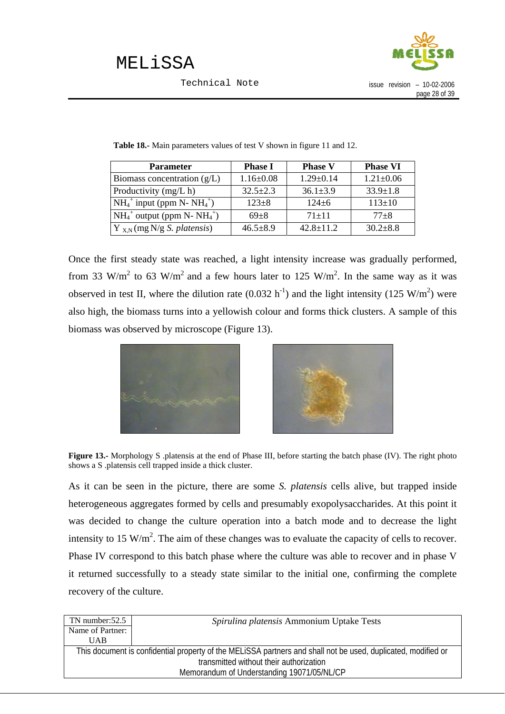

| <b>Parameter</b>                        | <b>Phase I</b>  | <b>Phase V</b>  | <b>Phase VI</b> |
|-----------------------------------------|-----------------|-----------------|-----------------|
| Biomass concentration $(g/L)$           | $1.16 \pm 0.08$ | $1.29 \pm 0.14$ | $1.21 \pm 0.06$ |
| Productivity (mg/L h)                   | $32.5 \pm 2.3$  | $36.1 \pm 3.9$  | $33.9 \pm 1.8$  |
| $NH_4^+$ input (ppm N- NH $_4^+$ )      | $123 + 8$       | $124 + 6$       | $113 \pm 10$    |
| $NH_4^+$ output (ppm N- $NH_4^+)$       | $69 + 8$        | $71 + 11$       | $77 + 8$        |
| $Y_{X,N}$ (mg N/g <i>S. platensis</i> ) | $46.5 \pm 8.9$  | $42.8 \pm 11.2$ | $30.2 \pm 8.8$  |

**Table 18.-** Main parameters values of test V shown in figure 11 and 12.

Once the first steady state was reached, a light intensity increase was gradually performed, from 33 W/m<sup>2</sup> to 63 W/m<sup>2</sup> and a few hours later to 125 W/m<sup>2</sup>. In the same way as it was observed in test II, where the dilution rate  $(0.032 \text{ h}^{-1})$  and the light intensity  $(125 \text{ W/m}^2)$  were also high, the biomass turns into a yellowish colour and forms thick clusters. A sample of this biomass was observed by microscope (Figure 13).



**Figure 13.-** Morphology S .platensis at the end of Phase III, before starting the batch phase (IV). The right photo shows a S .platensis cell trapped inside a thick cluster.

As it can be seen in the picture, there are some *S. platensis* cells alive, but trapped inside heterogeneous aggregates formed by cells and presumably exopolysaccharides. At this point it was decided to change the culture operation into a batch mode and to decrease the light intensity to 15 W/m<sup>2</sup>. The aim of these changes was to evaluate the capacity of cells to recover. Phase IV correspond to this batch phase where the culture was able to recover and in phase V it returned successfully to a steady state similar to the initial one, confirming the complete recovery of the culture.

| Spirulina platensis Ammonium Uptake Tests                                                                     |  |  |  |  |
|---------------------------------------------------------------------------------------------------------------|--|--|--|--|
|                                                                                                               |  |  |  |  |
|                                                                                                               |  |  |  |  |
| This document is confidential property of the MELISSA partners and shall not be used, duplicated, modified or |  |  |  |  |
| transmitted without their authorization                                                                       |  |  |  |  |
| Memorandum of Understanding 19071/05/NL/CP                                                                    |  |  |  |  |
|                                                                                                               |  |  |  |  |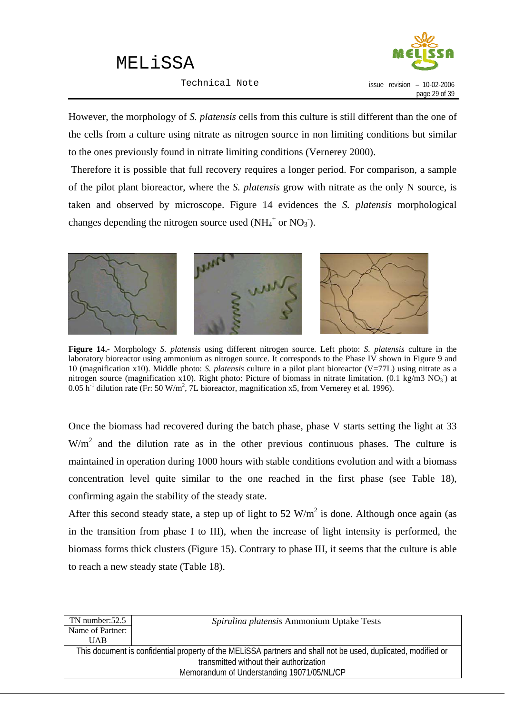Technical Note



However, the morphology of *S. platensis* cells from this culture is still different than the one of the cells from a culture using nitrate as nitrogen source in non limiting conditions but similar to the ones previously found in nitrate limiting conditions (Vernerey 2000).

 Therefore it is possible that full recovery requires a longer period. For comparison, a sample of the pilot plant bioreactor, where the *S. platensis* grow with nitrate as the only N source, is taken and observed by microscope. Figure 14 evidences the *S. platensis* morphological changes depending the nitrogen source used (NH<sub>4</sub><sup>+</sup> or NO<sub>3</sub><sup>-</sup>).



**Figure 14.-** Morphology *S. platensis* using different nitrogen source. Left photo: *S. platensis* culture in the laboratory bioreactor using ammonium as nitrogen source. It corresponds to the Phase IV shown in Figure 9 and 10 (magnification x10). Middle photo: *S. platensis* culture in a pilot plant bioreactor (V=77L) using nitrate as a nitrogen source (magnification x10). Right photo: Picture of biomass in nitrate limitation.  $(0.1 \text{ kg/m}3 \text{ NO}_3)$  at  $0.05$  h<sup>-1</sup> dilution rate (Fr: 50 W/m<sup>2</sup>, 7L bioreactor, magnification x5, from Vernerey et al. 1996).

Once the biomass had recovered during the batch phase, phase V starts setting the light at 33  $W/m<sup>2</sup>$  and the dilution rate as in the other previous continuous phases. The culture is maintained in operation during 1000 hours with stable conditions evolution and with a biomass concentration level quite similar to the one reached in the first phase (see Table 18), confirming again the stability of the steady state.

After this second steady state, a step up of light to 52  $W/m^2$  is done. Although once again (as in the transition from phase I to III), when the increase of light intensity is performed, the biomass forms thick clusters (Figure 15). Contrary to phase III, it seems that the culture is able to reach a new steady state (Table 18).

| TN number:52.5                             | Spirulina platensis Ammonium Uptake Tests                                                                     |  |  |  |
|--------------------------------------------|---------------------------------------------------------------------------------------------------------------|--|--|--|
| Name of Partner:                           |                                                                                                               |  |  |  |
| <b>UAB</b>                                 |                                                                                                               |  |  |  |
|                                            | This document is confidential property of the MELISSA partners and shall not be used, duplicated, modified or |  |  |  |
| transmitted without their authorization    |                                                                                                               |  |  |  |
| Memorandum of Understanding 19071/05/NL/CP |                                                                                                               |  |  |  |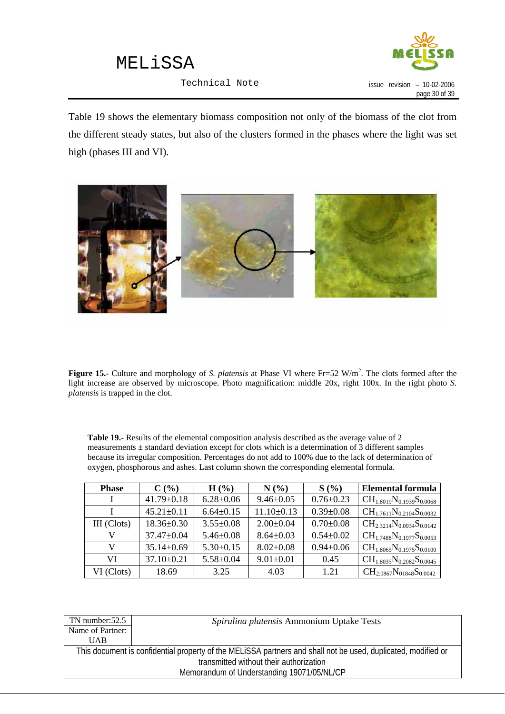

Technical Note

Table 19 shows the elementary biomass composition not only of the biomass of the clot from the different steady states, but also of the clusters formed in the phases where the light was set high (phases III and VI).



Figure 15.- Culture and morphology of *S. platensis* at Phase VI where Fr=52 W/m<sup>2</sup>. The clots formed after the light increase are observed by microscope. Photo magnification: middle 20x, right 100x. In the right photo *S. platensis* is trapped in the clot.

**Table 19.-** Results of the elemental composition analysis described as the average value of 2 measurements  $\pm$  standard deviation except for clots which is a determination of 3 different samples because its irregular composition. Percentages do not add to 100% due to the lack of determination of oxygen, phosphorous and ashes. Last column shown the corresponding elemental formula.

| <b>Phase</b> | C(%)             | $H(\%)$         | N(%             | S(%)            | <b>Elemental formula</b>          |
|--------------|------------------|-----------------|-----------------|-----------------|-----------------------------------|
|              | $41.79 \pm 0.18$ | $6.28 \pm 0.06$ | $9.46 \pm 0.05$ | $0.76 \pm 0.23$ | $CH_{1.8019}N_{0.1939}S_{0.0068}$ |
|              | $45.21 \pm 0.11$ | $6.64 \pm 0.15$ | $11.10\pm0.13$  | $0.39 \pm 0.08$ | $CH_{1.7611}N_{0.2104}S_{0.0032}$ |
| III (Clots)  | $18.36 \pm 0.30$ | $3.55 \pm 0.08$ | $2.00 \pm 0.04$ | $0.70 \pm 0.08$ | $CH_{2.3214}N_{0.0934}S_{0.0142}$ |
|              | $37.47 \pm 0.04$ | $5.46 \pm 0.08$ | $8.64 \pm 0.03$ | $0.54 \pm 0.02$ | $CH_{1.7488}N_{0.1977}S_{0.0053}$ |
| V            | $35.14 \pm 0.69$ | $5.30\pm0.15$   | $8.02 \pm 0.08$ | $0.94 \pm 0.06$ | $CH_{1.8065}N_{0.1975}S_{0.0100}$ |
| VI           | $37.10\pm0.21$   | $5.58 \pm 0.04$ | $9.01 \pm 0.01$ | 0.45            | $CH_{1.8035}N_{0.2082}S_{0.0045}$ |
| VI (Clots)   | 18.69            | 3.25            | 4.03            | 1.21            | $CH_{2.0867}N_{01848}S_{0.0042}$  |

| TN number: $52.5$                                                                                             | Spirulina platensis Ammonium Uptake Tests |  |
|---------------------------------------------------------------------------------------------------------------|-------------------------------------------|--|
| Name of Partner:                                                                                              |                                           |  |
| UAB                                                                                                           |                                           |  |
| This document is confidential property of the MELISSA partners and shall not be used, duplicated, modified or |                                           |  |
| transmitted without their authorization                                                                       |                                           |  |
| Memorandum of Understanding 19071/05/NL/CP                                                                    |                                           |  |
|                                                                                                               |                                           |  |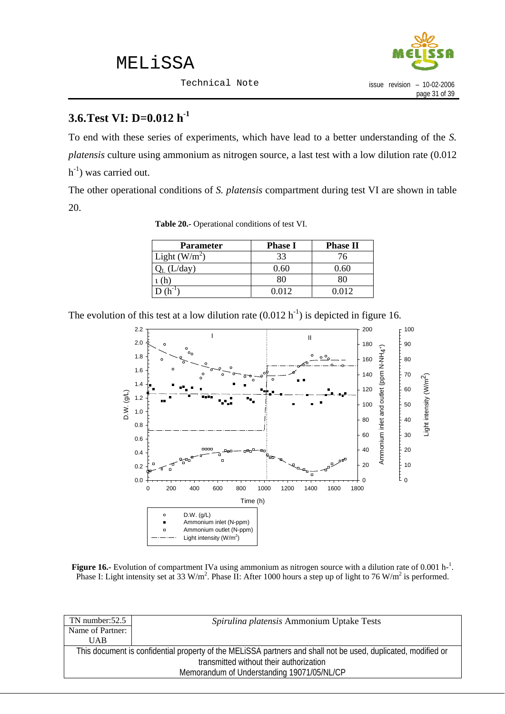Technical Note



### <span id="page-33-0"></span>**3.6.Test VI: D=0.012 h-1**

To end with these series of experiments, which have lead to a better understanding of the *S. platensis* culture using ammonium as nitrogen source, a last test with a low dilution rate (0.012  $h^{-1}$ ) was carried out.

The other operational conditions of *S. platensis* compartment during test VI are shown in table 20.

| <b>Parameter</b> | <b>Phase I</b> | <b>Phase II</b> |
|------------------|----------------|-----------------|
| Light $(W/m^2)$  | 33             | 76              |
| L/day)           | 0.60           | 0.60            |
|                  | 80             | 80              |
|                  | 0.012          | 0 012           |

**Table 20.-** Operational conditions of test VI.

The evolution of this test at a low dilution rate  $(0.012 \text{ h}^{-1})$  is depicted in figure 16.



**Figure 16.**- Evolution of compartment IVa using ammonium as nitrogen source with a dilution rate of 0.001 h<sup>-1</sup>. Phase I: Light intensity set at 33 W/m<sup>2</sup>. Phase II: After 1000 hours a step up of light to 76 W/m<sup>2</sup> is performed.

| TN number:52.5                                                                                                | Spirulina platensis Ammonium Uptake Tests |  |
|---------------------------------------------------------------------------------------------------------------|-------------------------------------------|--|
| Name of Partner:                                                                                              |                                           |  |
| <b>UAB</b>                                                                                                    |                                           |  |
| This document is confidential property of the MELISSA partners and shall not be used, duplicated, modified or |                                           |  |
| transmitted without their authorization                                                                       |                                           |  |
| Memorandum of Understanding 19071/05/NL/CP                                                                    |                                           |  |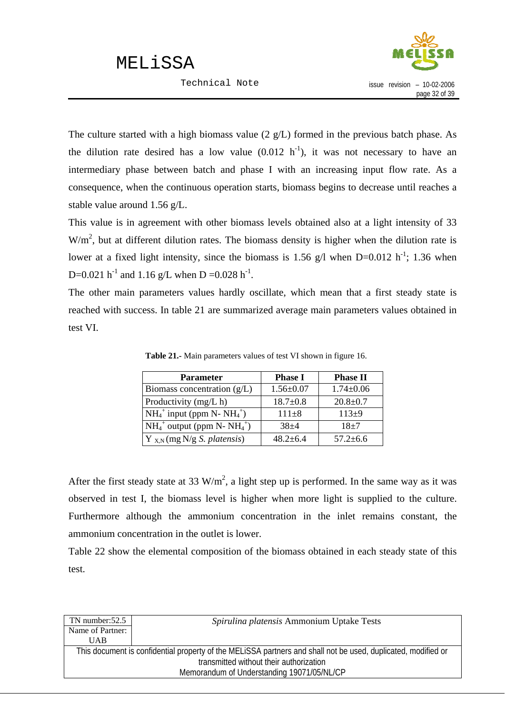Technical Note



The culture started with a high biomass value (2 g/L) formed in the previous batch phase. As the dilution rate desired has a low value  $(0.012 \text{ h}^{-1})$ , it was not necessary to have an intermediary phase between batch and phase I with an increasing input flow rate. As a consequence, when the continuous operation starts, biomass begins to decrease until reaches a stable value around 1.56 g/L.

This value is in agreement with other biomass levels obtained also at a light intensity of 33  $W/m<sup>2</sup>$ , but at different dilution rates. The biomass density is higher when the dilution rate is lower at a fixed light intensity, since the biomass is 1.56 g/l when  $D=0.012$  h<sup>-1</sup>; 1.36 when D=0.021 h<sup>-1</sup> and 1.16 g/L when D =0.028 h<sup>-1</sup>.

The other main parameters values hardly oscillate, which mean that a first steady state is reached with success. In table 21 are summarized average main parameters values obtained in test VI.

| <b>Parameter</b>                        | <b>Phase I</b>  | <b>Phase II</b> |
|-----------------------------------------|-----------------|-----------------|
| Biomass concentration $(g/L)$           | $1.56 \pm 0.07$ | $1.74 \pm 0.06$ |
| Productivity (mg/L h)                   | $18.7 \pm 0.8$  | $20.8 \pm 0.7$  |
| $NH_4^+$ input (ppm N- $NH_4^+$ )       | $111 \pm 8$     | $113+9$         |
| $NH_4^+$ output (ppm N- $NH_4^+)$       | $38+4$          | $18+7$          |
| $Y_{X,N}$ (mg N/g <i>S. platensis</i> ) | $48.2 + 6.4$    | $57.2 \pm 6.6$  |

**Table 21.-** Main parameters values of test VI shown in figure 16.

After the first steady state at 33 W/m<sup>2</sup>, a light step up is performed. In the same way as it was observed in test I, the biomass level is higher when more light is supplied to the culture. Furthermore although the ammonium concentration in the inlet remains constant, the ammonium concentration in the outlet is lower.

Table 22 show the elemental composition of the biomass obtained in each steady state of this test.

| Spirulina platensis Ammonium Uptake Tests                                                                     |  |  |
|---------------------------------------------------------------------------------------------------------------|--|--|
|                                                                                                               |  |  |
|                                                                                                               |  |  |
| This document is confidential property of the MELISSA partners and shall not be used, duplicated, modified or |  |  |
| transmitted without their authorization                                                                       |  |  |
| Memorandum of Understanding 19071/05/NL/CP                                                                    |  |  |
|                                                                                                               |  |  |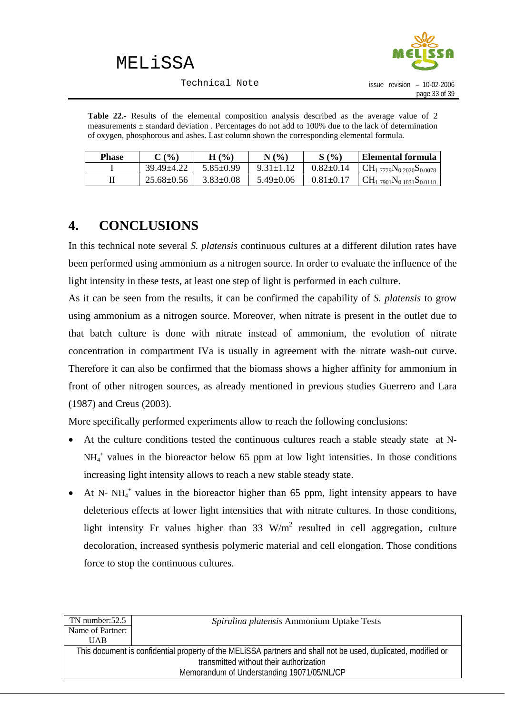

Technical Note

<span id="page-35-0"></span>**Table 22.-** Results of the elemental composition analysis described as the average value of 2 measurements  $\pm$  standard deviation . Percentages do not add to 100% due to the lack of determination of oxygen, phosphorous and ashes. Last column shown the corresponding elemental formula.

| <b>Phase</b> | $C($ %)          | $H(\%)$         | N(%             | S(%             | Elemental formula                         |
|--------------|------------------|-----------------|-----------------|-----------------|-------------------------------------------|
|              | $39.49 + 4.22$   | $5.85 \pm 0.99$ | $9.31 \pm 1.12$ | $0.82 \pm 0.14$ | $\rm C\rm H_{1.7779}N_{0.2020}S_{0.0078}$ |
|              | $25.68 \pm 0.56$ | $3.83 \pm 0.08$ | $5.49 \pm 0.06$ | $0.81 \pm 0.17$ | $\rm C\rm H_{1.7901}N_{0.1831}S_{0.0118}$ |

## **4. CONCLUSIONS**

In this technical note several *S. platensis* continuous cultures at a different dilution rates have been performed using ammonium as a nitrogen source. In order to evaluate the influence of the light intensity in these tests, at least one step of light is performed in each culture.

As it can be seen from the results, it can be confirmed the capability of *S. platensis* to grow using ammonium as a nitrogen source. Moreover, when nitrate is present in the outlet due to that batch culture is done with nitrate instead of ammonium, the evolution of nitrate concentration in compartment IVa is usually in agreement with the nitrate wash-out curve. Therefore it can also be confirmed that the biomass shows a higher affinity for ammonium in front of other nitrogen sources, as already mentioned in previous studies Guerrero and Lara (1987) and Creus (2003).

More specifically performed experiments allow to reach the following conclusions:

- At the culture conditions tested the continuous cultures reach a stable steady state at N-NH4 <sup>+</sup> values in the bioreactor below 65 ppm at low light intensities. In those conditions increasing light intensity allows to reach a new stable steady state.
- At N-  $NH_4^+$  values in the bioreactor higher than 65 ppm, light intensity appears to have deleterious effects at lower light intensities that with nitrate cultures. In those conditions, light intensity Fr values higher than 33  $W/m^2$  resulted in cell aggregation, culture decoloration, increased synthesis polymeric material and cell elongation. Those conditions force to stop the continuous cultures.

| TN number:52.5                                                                                                | Spirulina platensis Ammonium Uptake Tests |  |
|---------------------------------------------------------------------------------------------------------------|-------------------------------------------|--|
| Name of Partner:                                                                                              |                                           |  |
| <b>UAB</b>                                                                                                    |                                           |  |
| This document is confidential property of the MELISSA partners and shall not be used, duplicated, modified or |                                           |  |
| transmitted without their authorization                                                                       |                                           |  |
| Memorandum of Understanding 19071/05/NL/CP                                                                    |                                           |  |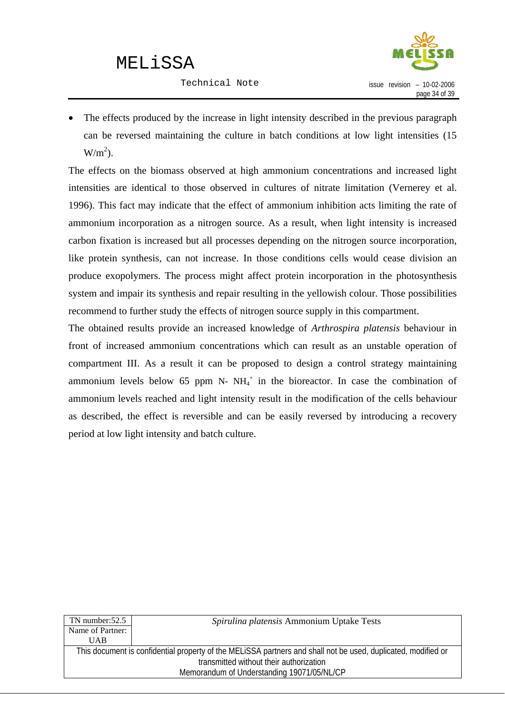Technical Note



The effects produced by the increase in light intensity described in the previous paragraph can be reversed maintaining the culture in batch conditions at low light intensities (15  $W/m<sup>2</sup>$ ).

The effects on the biomass observed at high ammonium concentrations and increased light intensities are identical to those observed in cultures of nitrate limitation (Vernerey et al. 1996). This fact may indicate that the effect of ammonium inhibition acts limiting the rate of ammonium incorporation as a nitrogen source. As a result, when light intensity is increased carbon fixation is increased but all processes depending on the nitrogen source incorporation, like protein synthesis, can not increase. In those conditions cells would cease division an produce exopolymers. The process might affect protein incorporation in the photosynthesis system and impair its synthesis and repair resulting in the yellowish colour. Those possibilities recommend to further study the effects of nitrogen source supply in this compartment.

The obtained results provide an increased knowledge of *Arthrospira platensis* behaviour in front of increased ammonium concentrations which can result as an unstable operation of compartment III. As a result it can be proposed to design a control strategy maintaining ammonium levels below  $65$  ppm N-  $NH_4^+$  in the bioreactor. In case the combination of ammonium levels reached and light intensity result in the modification of the cells behaviour as described, the effect is reversible and can be easily reversed by introducing a recovery period at low light intensity and batch culture.

| TN number: $52.5$                                                                                             | Spirulina platensis Ammonium Uptake Tests |  |
|---------------------------------------------------------------------------------------------------------------|-------------------------------------------|--|
| Name of Partner:                                                                                              |                                           |  |
| <b>UAB</b>                                                                                                    |                                           |  |
| This document is confidential property of the MELISSA partners and shall not be used, duplicated, modified or |                                           |  |
| transmitted without their authorization                                                                       |                                           |  |
| Memorandum of Understanding 19071/05/NL/CP                                                                    |                                           |  |
|                                                                                                               |                                           |  |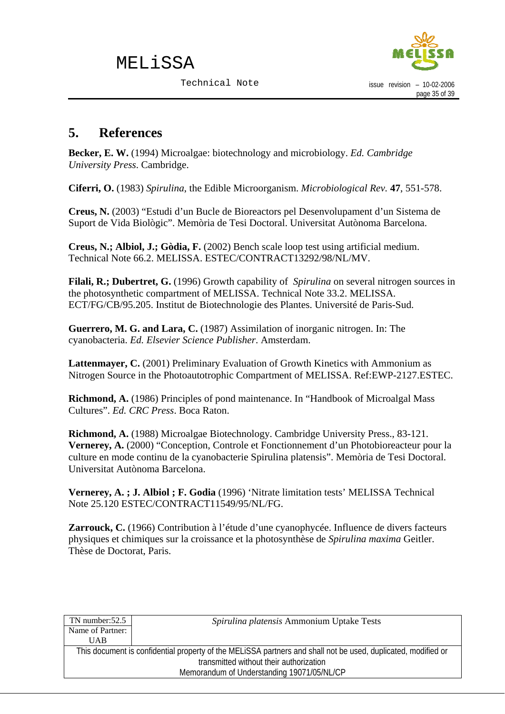

### <span id="page-37-0"></span>**5. References**

**Becker, E. W.** (1994) Microalgae: biotechnology and microbiology. *Ed. Cambridge University Press*. Cambridge.

**Ciferri, O.** (1983) *Spirulina*, the Edible Microorganism. *Microbiological Rev.* **47**, 551-578.

**Creus, N.** (2003) "Estudi d'un Bucle de Bioreactors pel Desenvolupament d'un Sistema de Suport de Vida Biològic". Memòria de Tesi Doctoral. Universitat Autònoma Barcelona.

**Creus, N.; Albiol, J.; Gòdia, F.** (2002) Bench scale loop test using artificial medium. Technical Note 66.2. MELISSA. ESTEC/CONTRACT13292/98/NL/MV.

**Filali, R.; Dubertret, G.** (1996) Growth capability of *Spirulina* on several nitrogen sources in the photosynthetic compartment of MELISSA. Technical Note 33.2. MELISSA. ECT/FG/CB/95.205. Institut de Biotechnologie des Plantes. Université de Paris-Sud.

**Guerrero, M. G. and Lara, C.** (1987) Assimilation of inorganic nitrogen. In: The cyanobacteria. *Ed. Elsevier Science Publisher*. Amsterdam.

Lattenmayer, C. (2001) Preliminary Evaluation of Growth Kinetics with Ammonium as Nitrogen Source in the Photoautotrophic Compartment of MELISSA. Ref:EWP-2127.ESTEC.

**Richmond, A.** (1986) Principles of pond maintenance. In "Handbook of Microalgal Mass Cultures". *Ed. CRC Press*. Boca Raton.

**Richmond, A.** (1988) Microalgae Biotechnology. Cambridge University Press., 83-121. **Vernerey, A.** (2000) "Conception, Controle et Fonctionnement d'un Photobioreacteur pour la culture en mode continu de la cyanobacterie Spirulina platensis". Memòria de Tesi Doctoral. Universitat Autònoma Barcelona.

**Vernerey, A. ; J. Albiol ; F. Godia** (1996) 'Nitrate limitation tests' MELISSA Technical Note 25.120 ESTEC/CONTRACT11549/95/NL/FG.

**Zarrouck, C.** (1966) Contribution à l'étude d'une cyanophycée. Influence de divers facteurs physiques et chimiques sur la croissance et la photosynthèse de *Spirulina maxima* Geitler. Thèse de Doctorat, Paris.

| TN number:52.5                                                                                                | Spirulina platensis Ammonium Uptake Tests |  |
|---------------------------------------------------------------------------------------------------------------|-------------------------------------------|--|
| Name of Partner:                                                                                              |                                           |  |
| UAB                                                                                                           |                                           |  |
| This document is confidential property of the MELISSA partners and shall not be used, duplicated, modified or |                                           |  |
| transmitted without their authorization                                                                       |                                           |  |
| Memorandum of Understanding 19071/05/NL/CP                                                                    |                                           |  |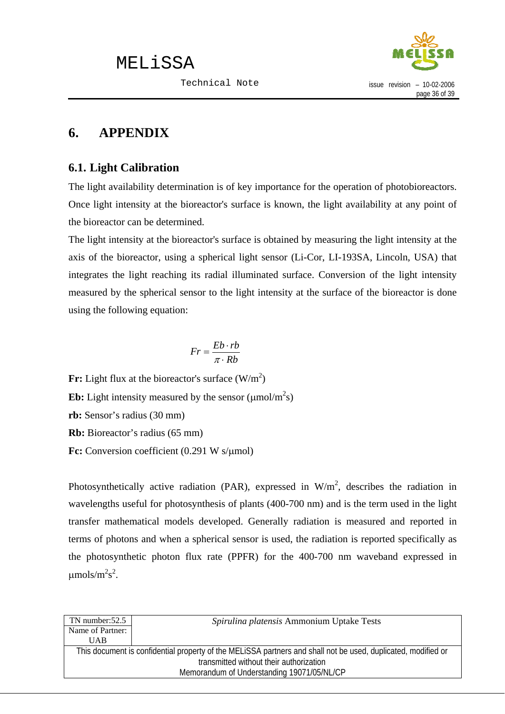

### <span id="page-38-0"></span>**6. APPENDIX**

### **6.1. Light Calibration**

The light availability determination is of key importance for the operation of photobioreactors. Once light intensity at the bioreactor's surface is known, the light availability at any point of the bioreactor can be determined.

The light intensity at the bioreactor's surface is obtained by measuring the light intensity at the axis of the bioreactor, using a spherical light sensor (Li-Cor, LI-193SA, Lincoln, USA) that integrates the light reaching its radial illuminated surface. Conversion of the light intensity measured by the spherical sensor to the light intensity at the surface of the bioreactor is done using the following equation:

$$
Fr = \frac{Eb \cdot rb}{\pi \cdot Rb}
$$

**Fr:** Light flux at the bioreactor's surface  $(W/m^2)$ **Eb:** Light intensity measured by the sensor  $(\mu \text{mol/m}^2\text{s})$ **rb:** Sensor's radius (30 mm) **Rb:** Bioreactor's radius (65 mm) **Fc:** Conversion coefficient (0.291 W s/μmol)

Photosynthetically active radiation (PAR), expressed in  $W/m^2$ , describes the radiation in wavelengths useful for photosynthesis of plants (400-700 nm) and is the term used in the light transfer mathematical models developed. Generally radiation is measured and reported in terms of photons and when a spherical sensor is used, the radiation is reported specifically as the photosynthetic photon flux rate (PPFR) for the 400-700 nm waveband expressed in  $\mu$ mols/m<sup>2</sup>s<sup>2</sup>.

| $TN$ number: $52.5$                                                                                           | Spirulina platensis Ammonium Uptake Tests |  |
|---------------------------------------------------------------------------------------------------------------|-------------------------------------------|--|
| Name of Partner:                                                                                              |                                           |  |
| <b>UAB</b>                                                                                                    |                                           |  |
| This document is confidential property of the MELISSA partners and shall not be used, duplicated, modified or |                                           |  |
| transmitted without their authorization                                                                       |                                           |  |
| Memorandum of Understanding 19071/05/NL/CP                                                                    |                                           |  |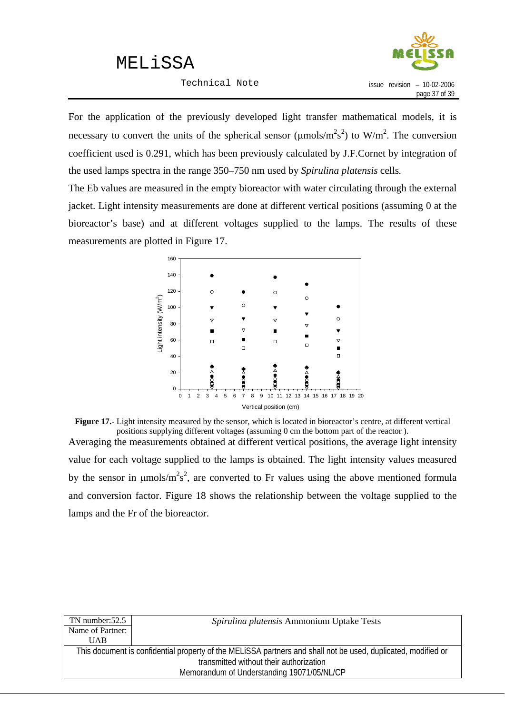Technical Note



For the application of the previously developed light transfer mathematical models, it is necessary to convert the units of the spherical sensor ( $\mu$ mols/m<sup>2</sup>s<sup>2</sup>) to W/m<sup>2</sup>. The conversion coefficient used is 0.291, which has been previously calculated by J.F.Cornet by integration of the used lamps spectra in the range 350–750 nm used by *Spirulina platensis* cells*.* 

The Eb values are measured in the empty bioreactor with water circulating through the external jacket. Light intensity measurements are done at different vertical positions (assuming 0 at the bioreactor's base) and at different voltages supplied to the lamps. The results of these measurements are plotted in Figure 17.



**Figure 17.-** Light intensity measured by the sensor, which is located in bioreactor's centre, at different vertical positions supplying different voltages (assuming 0 cm the bottom part of the reactor ).

Averaging the measurements obtained at different vertical positions, the average light intensity value for each voltage supplied to the lamps is obtained. The light intensity values measured by the sensor in  $\mu$ mols/m<sup>2</sup>s<sup>2</sup>, are converted to Fr values using the above mentioned formula and conversion factor. Figure 18 shows the relationship between the voltage supplied to the lamps and the Fr of the bioreactor.

| Spirulina platensis Ammonium Uptake Tests                                                                     |  |  |
|---------------------------------------------------------------------------------------------------------------|--|--|
|                                                                                                               |  |  |
|                                                                                                               |  |  |
| This document is confidential property of the MELISSA partners and shall not be used, duplicated, modified or |  |  |
| transmitted without their authorization                                                                       |  |  |
| Memorandum of Understanding 19071/05/NL/CP                                                                    |  |  |
|                                                                                                               |  |  |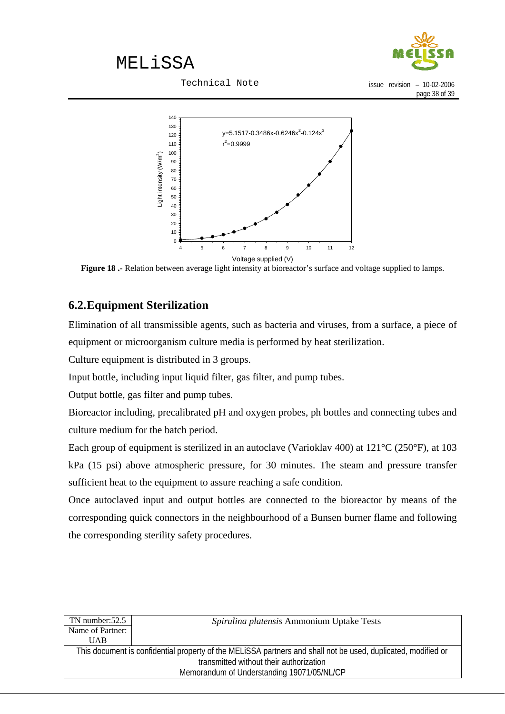

Technical Note

issue revision – 10-02-2006 page 38 of 39

<span id="page-40-0"></span>

**Figure 18 .-** Relation between average light intensity at bioreactor's surface and voltage supplied to lamps.

### **6.2.Equipment Sterilization**

Elimination of all transmissible agents, such as bacteria and viruses, from a surface, a piece of equipment or microorganism culture media is performed by heat sterilization.

Culture equipment is distributed in 3 groups.

Input bottle, including input liquid filter, gas filter, and pump tubes.

Output bottle, gas filter and pump tubes.

Bioreactor including, precalibrated pH and oxygen probes, ph bottles and connecting tubes and culture medium for the batch period.

Each group of equipment is sterilized in an autoclave (Varioklav 400) at 121°C (250°F), at 103 kPa (15 psi) above atmospheric pressure, for 30 minutes. The steam and pressure transfer sufficient heat to the equipment to assure reaching a safe condition.

Once autoclaved input and output bottles are connected to the bioreactor by means of the corresponding quick connectors in the neighbourhood of a Bunsen burner flame and following the corresponding sterility safety procedures.

| TN number: $52.5$                                                                                             | Spirulina platensis Ammonium Uptake Tests |  |
|---------------------------------------------------------------------------------------------------------------|-------------------------------------------|--|
| Name of Partner:                                                                                              |                                           |  |
| <b>UAB</b>                                                                                                    |                                           |  |
| This document is confidential property of the MELISSA partners and shall not be used, duplicated, modified or |                                           |  |
| transmitted without their authorization                                                                       |                                           |  |
| Memorandum of Understanding 19071/05/NL/CP                                                                    |                                           |  |